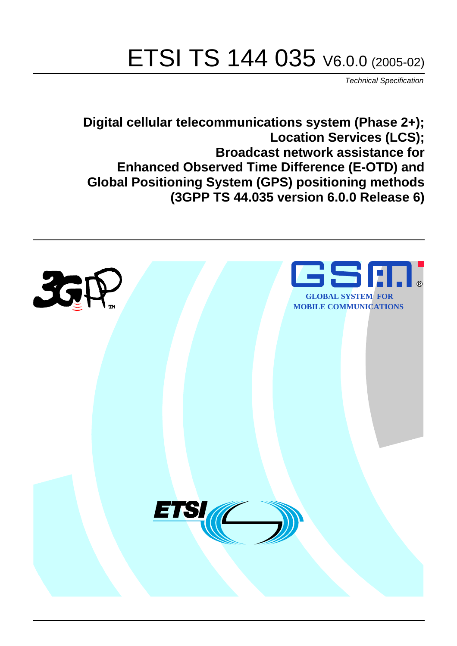# ETSI TS 144 035 V6.0.0 (2005-02)

Technical Specification

**Digital cellular telecommunications system (Phase 2+); Location Services (LCS); Broadcast network assistance for Enhanced Observed Time Difference (E-OTD) and Global Positioning System (GPS) positioning methods (3GPP TS 44.035 version 6.0.0 Release 6)**

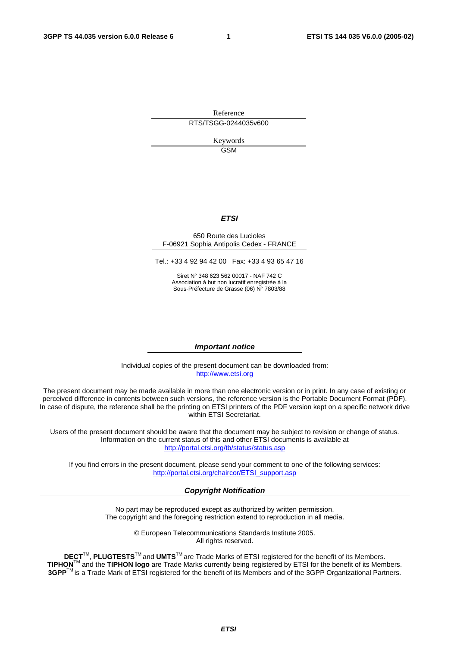Reference RTS/TSGG-0244035v600

> Keywords GSM

### **ETSI**

#### 650 Route des Lucioles F-06921 Sophia Antipolis Cedex - FRANCE

Tel.: +33 4 92 94 42 00 Fax: +33 4 93 65 47 16

Siret N° 348 623 562 00017 - NAF 742 C Association à but non lucratif enregistrée à la Sous-Préfecture de Grasse (06) N° 7803/88

#### **Important notice**

Individual copies of the present document can be downloaded from: [http://www.etsi.org](http://www.etsi.org/)

The present document may be made available in more than one electronic version or in print. In any case of existing or perceived difference in contents between such versions, the reference version is the Portable Document Format (PDF). In case of dispute, the reference shall be the printing on ETSI printers of the PDF version kept on a specific network drive within ETSI Secretariat.

Users of the present document should be aware that the document may be subject to revision or change of status. Information on the current status of this and other ETSI documents is available at <http://portal.etsi.org/tb/status/status.asp>

If you find errors in the present document, please send your comment to one of the following services: [http://portal.etsi.org/chaircor/ETSI\\_support.asp](http://portal.etsi.org/chaircor/ETSI_support.asp)

#### **Copyright Notification**

No part may be reproduced except as authorized by written permission. The copyright and the foregoing restriction extend to reproduction in all media.

> © European Telecommunications Standards Institute 2005. All rights reserved.

**DECT**TM, **PLUGTESTS**TM and **UMTS**TM are Trade Marks of ETSI registered for the benefit of its Members. **TIPHON**TM and the **TIPHON logo** are Trade Marks currently being registered by ETSI for the benefit of its Members. **3GPP**TM is a Trade Mark of ETSI registered for the benefit of its Members and of the 3GPP Organizational Partners.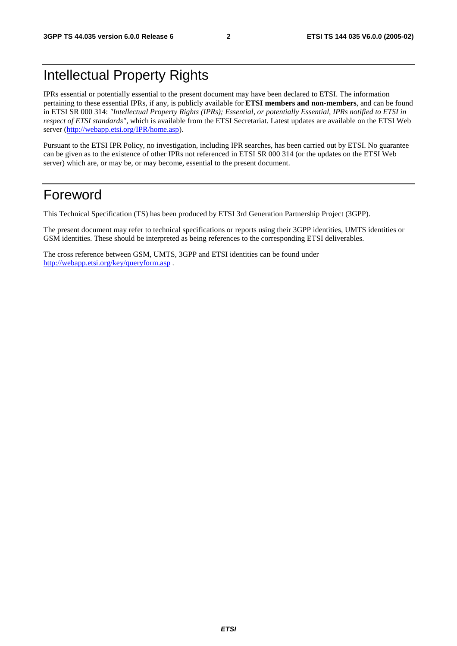# Intellectual Property Rights

IPRs essential or potentially essential to the present document may have been declared to ETSI. The information pertaining to these essential IPRs, if any, is publicly available for **ETSI members and non-members**, and can be found in ETSI SR 000 314: *"Intellectual Property Rights (IPRs); Essential, or potentially Essential, IPRs notified to ETSI in respect of ETSI standards"*, which is available from the ETSI Secretariat. Latest updates are available on the ETSI Web server ([http://webapp.etsi.org/IPR/home.asp\)](http://webapp.etsi.org/IPR/home.asp).

Pursuant to the ETSI IPR Policy, no investigation, including IPR searches, has been carried out by ETSI. No guarantee can be given as to the existence of other IPRs not referenced in ETSI SR 000 314 (or the updates on the ETSI Web server) which are, or may be, or may become, essential to the present document.

# Foreword

This Technical Specification (TS) has been produced by ETSI 3rd Generation Partnership Project (3GPP).

The present document may refer to technical specifications or reports using their 3GPP identities, UMTS identities or GSM identities. These should be interpreted as being references to the corresponding ETSI deliverables.

The cross reference between GSM, UMTS, 3GPP and ETSI identities can be found under <http://webapp.etsi.org/key/queryform.asp>.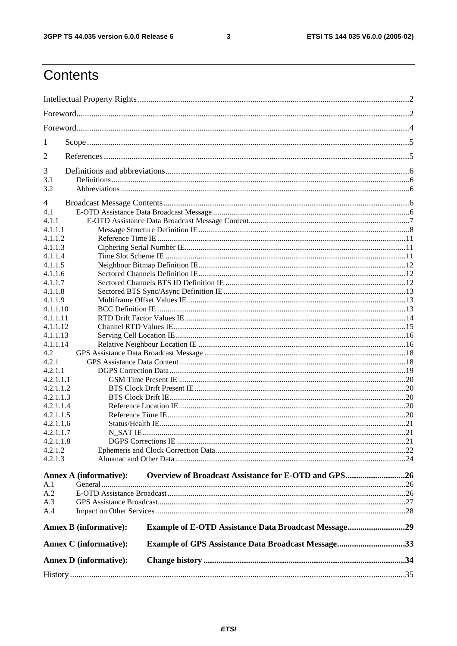$\mathbf{3}$ 

# Contents

|           | <b>Annex D</b> (informative): |                                                             |  |
|-----------|-------------------------------|-------------------------------------------------------------|--|
|           | <b>Annex C</b> (informative): | <b>Example of GPS Assistance Data Broadcast Message33</b>   |  |
|           | <b>Annex B</b> (informative): | <b>Example of E-OTD Assistance Data Broadcast Message29</b> |  |
| A.4       |                               |                                                             |  |
| A.3       |                               |                                                             |  |
| A.2       |                               |                                                             |  |
| A.1       |                               |                                                             |  |
|           | <b>Annex A (informative):</b> | Overview of Broadcast Assistance for E-OTD and GPS26        |  |
| 4.2.1.3   |                               |                                                             |  |
| 4.2.1.2   |                               |                                                             |  |
| 4.2.1.1.8 |                               |                                                             |  |
| 4.2.1.1.7 |                               |                                                             |  |
| 4.2.1.1.6 |                               |                                                             |  |
| 4.2.1.1.5 |                               |                                                             |  |
| 4.2.1.1.4 |                               |                                                             |  |
| 4.2.1.1.3 |                               |                                                             |  |
| 4.2.1.1.2 |                               |                                                             |  |
| 4.2.1.1.1 |                               |                                                             |  |
| 4.2.1.1   |                               |                                                             |  |
| 4.2.1     |                               |                                                             |  |
| 4.2       |                               |                                                             |  |
| 4.1.1.14  |                               |                                                             |  |
| 4.1.1.13  |                               |                                                             |  |
| 4.1.1.12  |                               |                                                             |  |
| 4.1.1.11  |                               |                                                             |  |
| 4.1.1.10  |                               |                                                             |  |
| 4.1.1.9   |                               |                                                             |  |
| 4.1.1.8   |                               |                                                             |  |
| 4.1.1.7   |                               |                                                             |  |
| 4.1.1.6   |                               |                                                             |  |
| 4.1.1.5   |                               |                                                             |  |
| 4.1.1.4   |                               |                                                             |  |
| 4.1.1.3   |                               |                                                             |  |
| 4.1.1.2   |                               |                                                             |  |
| 4.1.1.1   |                               |                                                             |  |
| 4.1.1     |                               |                                                             |  |
| 4<br>4.1  |                               |                                                             |  |
|           |                               |                                                             |  |
| 3.2       |                               |                                                             |  |
| 3.1       |                               |                                                             |  |
| 3         |                               |                                                             |  |
| 2         |                               |                                                             |  |
| 1         |                               |                                                             |  |
|           |                               |                                                             |  |
|           |                               |                                                             |  |
|           |                               |                                                             |  |
|           |                               |                                                             |  |
|           |                               |                                                             |  |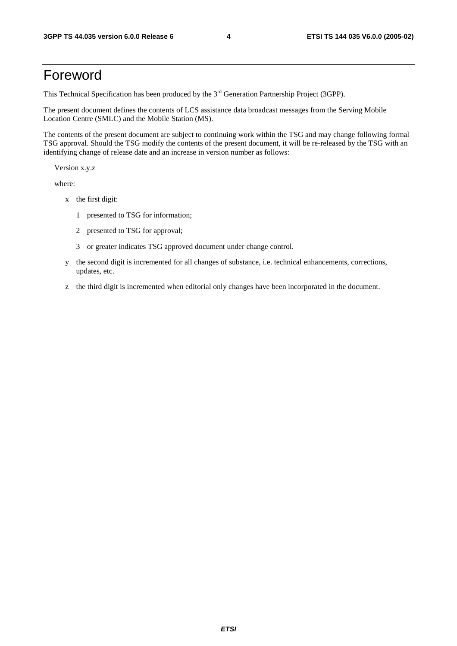# Foreword

This Technical Specification has been produced by the 3<sup>rd</sup> Generation Partnership Project (3GPP).

The present document defines the contents of LCS assistance data broadcast messages from the Serving Mobile Location Centre (SMLC) and the Mobile Station (MS).

The contents of the present document are subject to continuing work within the TSG and may change following formal TSG approval. Should the TSG modify the contents of the present document, it will be re-released by the TSG with an identifying change of release date and an increase in version number as follows:

Version x.y.z

where:

- x the first digit:
	- 1 presented to TSG for information;
	- 2 presented to TSG for approval;
	- 3 or greater indicates TSG approved document under change control.
- y the second digit is incremented for all changes of substance, i.e. technical enhancements, corrections, updates, etc.
- z the third digit is incremented when editorial only changes have been incorporated in the document.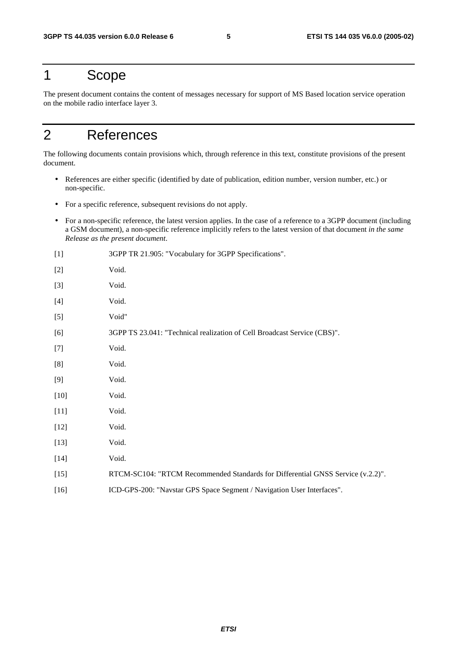# 1 Scope

The present document contains the content of messages necessary for support of MS Based location service operation on the mobile radio interface layer 3.

# 2 References

The following documents contain provisions which, through reference in this text, constitute provisions of the present document.

- References are either specific (identified by date of publication, edition number, version number, etc.) or non-specific.
- For a specific reference, subsequent revisions do not apply.
- For a non-specific reference, the latest version applies. In the case of a reference to a 3GPP document (including a GSM document), a non-specific reference implicitly refers to the latest version of that document *in the same Release as the present document*.
- [1] 3GPP TR 21.905: "Vocabulary for 3GPP Specifications". [2] Void. [3] Void. [4] Void. [5] Void" [6] 3GPP TS 23.041: "Technical realization of Cell Broadcast Service (CBS)". [7] Void. [8] Void. [9] Void. [10] **Void.** [11] **Void.** [12] **Void.** [13] **Void.** [14] Void. [15] RTCM-SC104: "RTCM Recommended Standards for Differential GNSS Service (v.2.2)". [16] ICD-GPS-200: "Navstar GPS Space Segment / Navigation User Interfaces".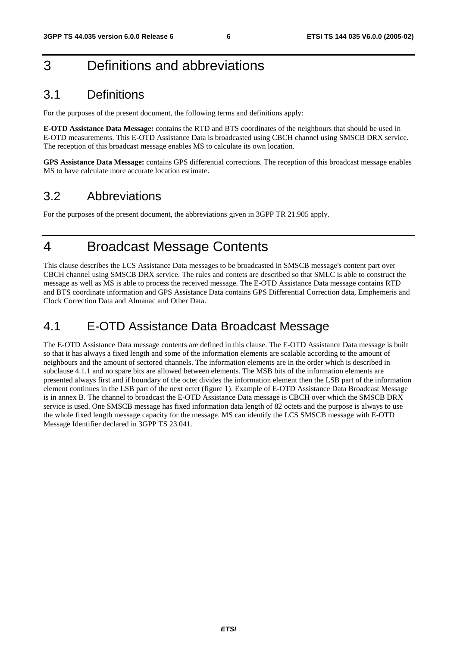# 3 Definitions and abbreviations

# 3.1 Definitions

For the purposes of the present document, the following terms and definitions apply:

**E-OTD Assistance Data Message:** contains the RTD and BTS coordinates of the neighbours that should be used in E-OTD measurements. This E-OTD Assistance Data is broadcasted using CBCH channel using SMSCB DRX service. The reception of this broadcast message enables MS to calculate its own location.

**GPS Assistance Data Message:** contains GPS differential corrections. The reception of this broadcast message enables MS to have calculate more accurate location estimate.

# 3.2 Abbreviations

For the purposes of the present document, the abbreviations given in 3GPP TR 21.905 apply.

# 4 Broadcast Message Contents

This clause describes the LCS Assistance Data messages to be broadcasted in SMSCB message's content part over CBCH channel using SMSCB DRX service. The rules and contets are described so that SMLC is able to construct the message as well as MS is able to process the received message. The E-OTD Assistance Data message contains RTD and BTS coordinate information and GPS Assistance Data contains GPS Differential Correction data, Emphemeris and Clock Correction Data and Almanac and Other Data.

# 4.1 E-OTD Assistance Data Broadcast Message

The E-OTD Assistance Data message contents are defined in this clause. The E-OTD Assistance Data message is built so that it has always a fixed length and some of the information elements are scalable according to the amount of neighbours and the amount of sectored channels. The information elements are in the order which is described in subclause 4.1.1 and no spare bits are allowed between elements. The MSB bits of the information elements are presented always first and if boundary of the octet divides the information element then the LSB part of the information element continues in the LSB part of the next octet (figure 1). Example of E-OTD Assistance Data Broadcast Message is in annex B. The channel to broadcast the E-OTD Assistance Data message is CBCH over which the SMSCB DRX service is used. One SMSCB message has fixed information data length of 82 octets and the purpose is always to use the whole fixed length message capacity for the message. MS can identify the LCS SMSCB message with E-OTD Message Identifier declared in 3GPP TS 23.041.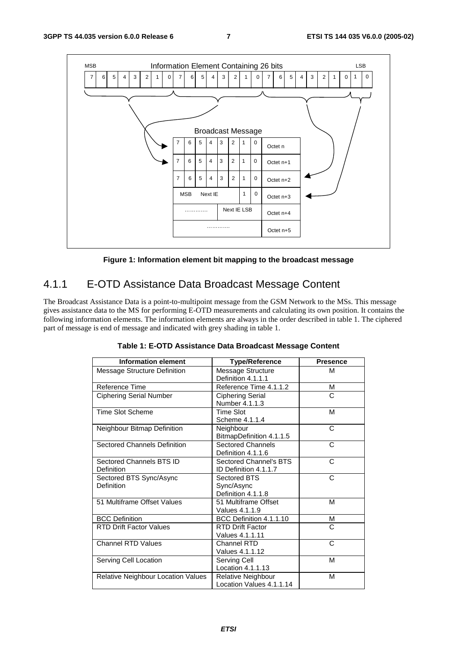

**Figure 1: Information element bit mapping to the broadcast message** 

# 4.1.1 E-OTD Assistance Data Broadcast Message Content

The Broadcast Assistance Data is a point-to-multipoint message from the GSM Network to the MSs. This message gives assistance data to the MS for performing E-OTD measurements and calculating its own position. It contains the following information elements. The information elements are always in the order described in table 1. The ciphered part of message is end of message and indicated with grey shading in table 1.

| <b>Information element</b>             | <b>Type/Reference</b>                            | <b>Presence</b> |
|----------------------------------------|--------------------------------------------------|-----------------|
| <b>Message Structure Definition</b>    | Message Structure<br>Definition 4.1.1.1          | M               |
| Reference Time                         | Reference Time 4.1.1.2                           | М               |
| <b>Ciphering Serial Number</b>         | <b>Ciphering Serial</b><br>Number 4.1.1.3        | C               |
| <b>Time Slot Scheme</b>                | <b>Time Slot</b><br>Scheme 4.1.1.4               | М               |
| Neighbour Bitmap Definition            | Neighbour<br>BitmapDefinition 4.1.1.5            | C               |
| <b>Sectored Channels Definition</b>    | <b>Sectored Channels</b><br>Definition 4.1.1.6   | C               |
| Sectored Channels BTS ID<br>Definition | Sectored Channel's BTS<br>ID Definition 4.1.1.7  | C               |
| Sectored BTS Sync/Async<br>Definition  | Sectored BTS<br>Sync/Async<br>Definition 4.1.1.8 | C               |
| 51 Multiframe Offset Values            | 51 Multiframe Offset<br>Values 4.1.1.9           | M               |
| <b>BCC Definition</b>                  | BCC Definition 4.1.1.10                          | М               |
| <b>RTD Drift Factor Values</b>         | <b>RTD Drift Factor</b><br>Values 4.1.1.11       | C               |
| <b>Channel RTD Values</b>              | Channel RTD<br>Values 4.1.1.12                   | C               |
| Serving Cell Location                  | Serving Cell<br>Location 4.1.1.13                | M               |
| Relative Neighbour Location Values     | Relative Neighbour<br>Location Values 4.1.1.14   | М               |

**Table 1: E-OTD Assistance Data Broadcast Message Content**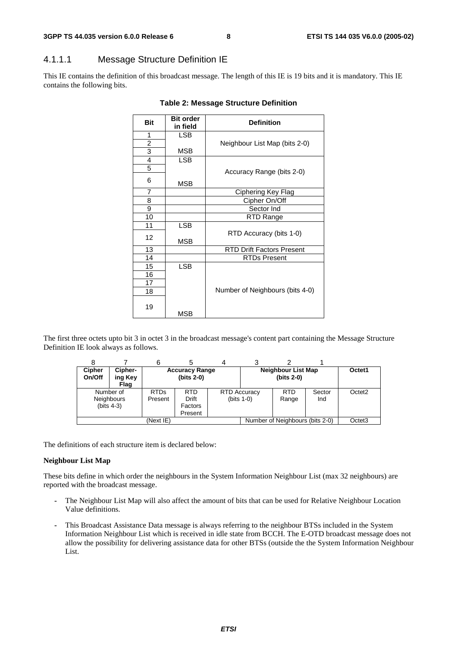## 4.1.1.1 Message Structure Definition IE

This IE contains the definition of this broadcast message. The length of this IE is 19 bits and it is mandatory. This IE contains the following bits.

| <b>Bit</b>              | <b>Bit order</b><br>in field | <b>Definition</b>                |  |  |
|-------------------------|------------------------------|----------------------------------|--|--|
|                         |                              |                                  |  |  |
| 1                       | <b>LSB</b>                   |                                  |  |  |
| $\overline{\mathbf{c}}$ |                              | Neighbour List Map (bits 2-0)    |  |  |
| $\overline{3}$          | MSB                          |                                  |  |  |
| $\overline{4}$          | <b>LSB</b>                   |                                  |  |  |
| 5                       |                              | Accuracy Range (bits 2-0)        |  |  |
| 6                       | MSB                          |                                  |  |  |
| 7                       |                              | Ciphering Key Flag               |  |  |
| 8                       |                              | Cipher On/Off                    |  |  |
| 9                       |                              | Sector Ind                       |  |  |
| 10                      |                              | RTD Range                        |  |  |
| 11                      | <b>LSB</b>                   |                                  |  |  |
| 12                      | MSB                          | RTD Accuracy (bits 1-0)          |  |  |
| 13                      |                              | <b>RTD Drift Factors Present</b> |  |  |
| 14                      |                              | <b>RTDs Present</b>              |  |  |
| 15                      | <b>LSB</b>                   |                                  |  |  |
| 16                      |                              |                                  |  |  |
| 17                      |                              |                                  |  |  |
| 18                      |                              | Number of Neighbours (bits 4-0)  |  |  |
| 19                      | MSB                          |                                  |  |  |

#### **Table 2: Message Structure Definition**

The first three octets upto bit 3 in octet 3 in the broadcast message's content part containing the Message Structure Definition IE look always as follows.

| <b>Cipher</b><br>On/Off | Cipher-<br>ing Key<br>Flag                      |                        | <b>Accuracy Range</b><br>$(bits 2-0)$            |  |                                     | <b>Neighbour List Map</b><br>$(bits 2-0)$ |               | Octet1             |
|-------------------------|-------------------------------------------------|------------------------|--------------------------------------------------|--|-------------------------------------|-------------------------------------------|---------------|--------------------|
|                         | Number of<br><b>Neighbours</b><br>(bits $4-3$ ) | <b>RTDs</b><br>Present | <b>RTD</b><br><b>Drift</b><br>Factors<br>Present |  | <b>RTD Accuracy</b><br>$(bits 1-0)$ | <b>RTD</b><br>Range                       | Sector<br>Ind | Octet <sub>2</sub> |
| (Next IE)               |                                                 |                        |                                                  |  |                                     | Number of Neighbours (bits 2-0)           |               | Octet <sub>3</sub> |

The definitions of each structure item is declared below:

#### **Neighbour List Map**

These bits define in which order the neighbours in the System Information Neighbour List (max 32 neighbours) are reported with the broadcast message.

- The Neighbour List Map will also affect the amount of bits that can be used for Relative Neighbour Location Value definitions.
- This Broadcast Assistance Data message is always referring to the neighbour BTSs included in the System Information Neighbour List which is received in idle state from BCCH. The E-OTD broadcast message does not allow the possibility for delivering assistance data for other BTSs (outside the the System Information Neighbour List.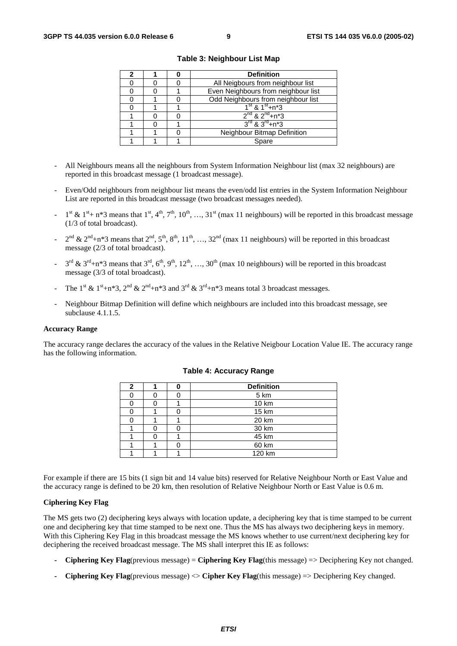|  | <b>Definition</b>                      |  |  |
|--|----------------------------------------|--|--|
|  | All Neigbours from neighbour list      |  |  |
|  | Even Neighbours from neighbour list    |  |  |
|  | Odd Neighbours from neighbour list     |  |  |
|  | $1^{\text{st}}$ & $1^{\text{st}}$ +n*3 |  |  |
|  | $2^{nd}$ & $2^{nd}$ +n*3               |  |  |
|  | $3^{rd}$ & $3^{rd}$ +n*3               |  |  |
|  | Neighbour Bitmap Definition            |  |  |
|  | Spare                                  |  |  |

**Table 3: Neighbour List Map** 

- All Neighbours means all the neighbours from System Information Neighbour list (max 32 neighbours) are reported in this broadcast message (1 broadcast message).
- Even/Odd neighbours from neighbour list means the even/odd list entries in the System Information Neighbour List are reported in this broadcast message (two broadcast messages needed).
- $1^{st}$  &  $1^{st}$  + n\*3 means that  $1^{st}$ ,  $4^{th}$ ,  $7^{th}$ ,  $10^{th}$ , ...,  $31^{st}$  (max 11 neighbours) will be reported in this broadcast message (1/3 of total broadcast).
- $2^{nd}$  &  $2^{nd}$ +n\*3 means that  $2^{nd}$ ,  $5^{th}$ ,  $8^{th}$ ,  $11^{th}$ , …,  $32^{nd}$  (max 11 neighbours) will be reported in this broadcast message (2/3 of total broadcast).
- $3^{\text{rd}}$  &  $3^{\text{rd}}+n*3$  means that  $3^{\text{rd}}, 6^{\text{th}}, 9^{\text{th}}, 12^{\text{th}}, ..., 30^{\text{th}}$  (max 10 neighbours) will be reported in this broadcast message (3/3 of total broadcast).
- The 1<sup>st</sup> & 1<sup>st</sup>+n\*3, 2<sup>nd</sup> & 2<sup>nd</sup>+n\*3 and 3<sup>rd</sup> & 3<sup>rd</sup>+n\*3 means total 3 broadcast messages.
- Neighbour Bitmap Definition will define which neighbours are included into this broadcast message, see subclause 4.1.1.5.

#### **Accuracy Range**

The accuracy range declares the accuracy of the values in the Relative Neigbour Location Value IE. The accuracy range has the following information.

| 2 |  | <b>Definition</b> |  |  |  |
|---|--|-------------------|--|--|--|
|   |  | 5 km              |  |  |  |
|   |  | 10 km             |  |  |  |
|   |  | 15 km             |  |  |  |
|   |  | 20 km             |  |  |  |
|   |  | 30 km             |  |  |  |
|   |  | 45 km             |  |  |  |
|   |  | 60 km             |  |  |  |
|   |  | 120 km            |  |  |  |

#### **Table 4: Accuracy Range**

For example if there are 15 bits (1 sign bit and 14 value bits) reserved for Relative Neighbour North or East Value and the accuracy range is defined to be 20 km, then resolution of Relative Neighbour North or East Value is 0.6 m.

#### **Ciphering Key Flag**

The MS gets two (2) deciphering keys always with location update, a deciphering key that is time stamped to be current one and deciphering key that time stamped to be next one. Thus the MS has always two deciphering keys in memory. With this Ciphering Key Flag in this broadcast message the MS knows whether to use current/next deciphering key for deciphering the received broadcast message. The MS shall interpret this IE as follows:

- **Ciphering Key Flag**(previous message) = **Ciphering Key Flag**(this message) => Deciphering Key not changed.
- **Ciphering Key Flag**(previous message) <> **Cipher Key Flag**(this message) => Deciphering Key changed.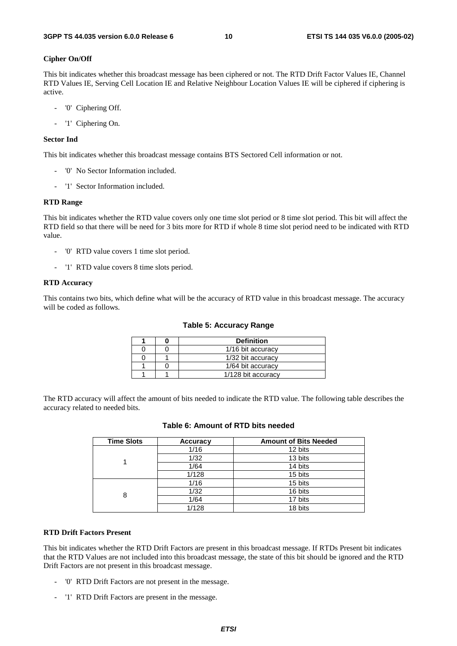#### **Cipher On/Off**

This bit indicates whether this broadcast message has been ciphered or not. The RTD Drift Factor Values IE, Channel RTD Values IE, Serving Cell Location IE and Relative Neighbour Location Values IE will be ciphered if ciphering is active.

- '0' Ciphering Off.
- '1' Ciphering On.

#### **Sector Ind**

This bit indicates whether this broadcast message contains BTS Sectored Cell information or not.

- '0' No Sector Information included.
- '1' Sector Information included.

#### **RTD Range**

This bit indicates whether the RTD value covers only one time slot period or 8 time slot period. This bit will affect the RTD field so that there will be need for 3 bits more for RTD if whole 8 time slot period need to be indicated with RTD value.

- '0' RTD value covers 1 time slot period.
- '1' RTD value covers 8 time slots period.

#### **RTD Accuracy**

This contains two bits, which define what will be the accuracy of RTD value in this broadcast message. The accuracy will be coded as follows.

#### **Table 5: Accuracy Range**

|  | <b>Definition</b>  |
|--|--------------------|
|  | 1/16 bit accuracy  |
|  | 1/32 bit accuracy  |
|  | 1/64 bit accuracy  |
|  | 1/128 bit accuracy |

The RTD accuracy will affect the amount of bits needed to indicate the RTD value. The following table describes the accuracy related to needed bits.

| <b>Time Slots</b> | <b>Accuracy</b> | <b>Amount of Bits Needed</b> |
|-------------------|-----------------|------------------------------|
|                   | 1/16            | 12 bits                      |
|                   | 1/32            | 13 bits                      |
|                   | 1/64            | 14 bits                      |
|                   | 1/128           | 15 bits                      |
|                   | 1/16            | 15 bits                      |
| 8                 | 1/32            | 16 bits                      |
|                   | 1/64            | 17 bits                      |
|                   | 1/128           | 18 bits                      |

### **Table 6: Amount of RTD bits needed**

#### **RTD Drift Factors Present**

This bit indicates whether the RTD Drift Factors are present in this broadcast message. If RTDs Present bit indicates that the RTD Values are not included into this broadcast message, the state of this bit should be ignored and the RTD Drift Factors are not present in this broadcast message.

- '0' RTD Drift Factors are not present in the message.
- '1' RTD Drift Factors are present in the message.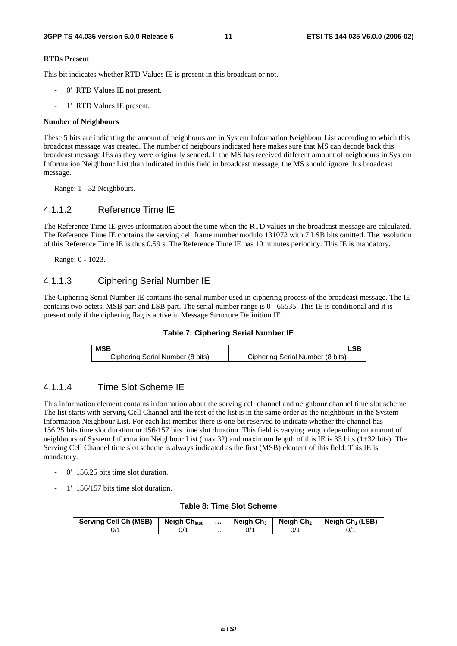#### **RTDs Present**

This bit indicates whether RTD Values IE is present in this broadcast or not.

- '0' RTD Values IE not present.
- '1' RTD Values IE present.

#### **Number of Neighbours**

These 5 bits are indicating the amount of neighbours are in System Information Neighbour List according to which this broadcast message was created. The number of neigbours indicated here makes sure that MS can decode back this broadcast message IEs as they were originally sended. If the MS has received different amount of neighbours in System Information Neighbour List than indicated in this field in broadcast message, the MS should ignore this broadcast message.

Range: 1 - 32 Neighbours.

### 4.1.1.2 Reference Time IE

The Reference Time IE gives information about the time when the RTD values in the broadcast message are calculated. The Reference Time IE contains the serving cell frame number modulo 131072 with 7 LSB bits omitted. The resolution of this Reference Time IE is thus 0.59 s. The Reference Time IE has 10 minutes periodicy. This IE is mandatory.

Range: 0 - 1023.

### 4.1.1.3 Ciphering Serial Number IE

The Ciphering Serial Number IE contains the serial number used in ciphering process of the broadcast message. The IE contains two octets, MSB part and LSB part. The serial number range is 0 - 65535. This IE is conditional and it is present only if the ciphering flag is active in Message Structure Definition IE.



| <b>MSB</b>                       |                                  |
|----------------------------------|----------------------------------|
| Ciphering Serial Number (8 bits) | Ciphering Serial Number (8 bits) |

### 4.1.1.4 Time Slot Scheme IE

This information element contains information about the serving cell channel and neighbour channel time slot scheme. The list starts with Serving Cell Channel and the rest of the list is in the same order as the neighbours in the System Information Neighbour List. For each list member there is one bit reserved to indicate whether the channel has 156.25 bits time slot duration or 156/157 bits time slot duration. This field is varying length depending on amount of neighbours of System Information Neighbour List (max 32) and maximum length of this IE is 33 bits (1+32 bits). The Serving Cell Channel time slot scheme is always indicated as the first (MSB) element of this field. This IE is mandatory.

- '0' 156.25 bits time slot duration.
- '1' 156/157 bits time slot duration.

#### **Table 8: Time Slot Scheme**

| <b>Serving Cell Ch (MSB)</b> | <b>Neigh Chlast</b> |   | Neigh $Ch3$     | Neigh Ch <sub>2</sub> | Neigh Ch <sub>1</sub> (LSB) |
|------------------------------|---------------------|---|-----------------|-----------------------|-----------------------------|
| -//                          | 0/ <sup>.</sup>     | . | 0/ <sup>.</sup> | 0/1                   | ^/0                         |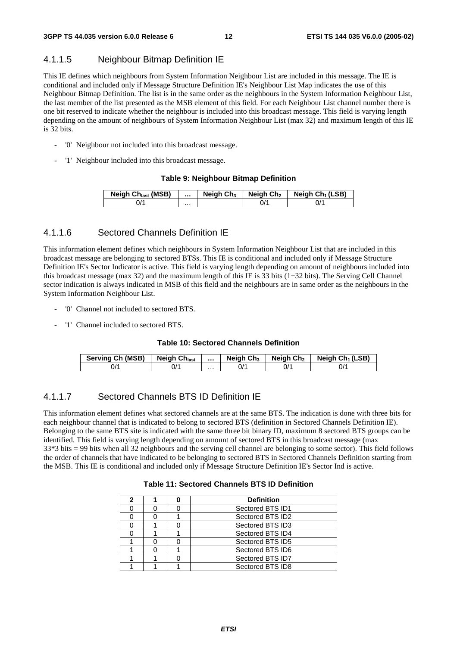### 4.1.1.5 Neighbour Bitmap Definition IE

This IE defines which neighbours from System Information Neighbour List are included in this message. The IE is conditional and included only if Message Structure Definition IE's Neighbour List Map indicates the use of this Neighbour Bitmap Definition. The list is in the same order as the neighbours in the System Information Neighbour List, the last member of the list presented as the MSB element of this field. For each Neighbour List channel number there is one bit reserved to indicate whether the neighbour is included into this broadcast message. This field is varying length depending on the amount of neighbours of System Information Neighbour List (max 32) and maximum length of this IE is 32 bits.

- '0' Neighbour not included into this broadcast message.
- '1' Neighbour included into this broadcast message.

#### **Table 9: Neighbour Bitmap Definition**

| <b>Neigh Ch<sub>last</sub></b> (MSB) |   | Neigh $Ch3$ | Neigh Ch <sub>2</sub> | Neigh $Ch_1(LSB)$ |
|--------------------------------------|---|-------------|-----------------------|-------------------|
| J'                                   | . |             | J/'                   |                   |

### 4.1.1.6 Sectored Channels Definition IE

This information element defines which neighbours in System Information Neighbour List that are included in this broadcast message are belonging to sectored BTSs. This IE is conditional and included only if Message Structure Definition IE's Sector Indicator is active. This field is varying length depending on amount of neighbours included into this broadcast message (max 32) and the maximum length of this IE is 33 bits (1+32 bits). The Serving Cell Channel sector indication is always indicated in MSB of this field and the neighbours are in same order as the neighbours in the System Information Neighbour List.

- '0' Channel not included to sectored BTS.
- '1' Channel included to sectored BTS.

#### **Table 10: Sectored Channels Definition**

| Serving Ch (MSB) | <b>Neigh Chlast</b> |   | Neigh $Ch3$ | Neigh Ch <sub>2</sub> | Neigh Ch <sub>1</sub> (LSB) |
|------------------|---------------------|---|-------------|-----------------------|-----------------------------|
| 0/1              | 0/1                 | . |             | 0/                    | ^/0                         |

### 4.1.1.7 Sectored Channels BTS ID Definition IE

This information element defines what sectored channels are at the same BTS. The indication is done with three bits for each neighbour channel that is indicated to belong to sectored BTS (definition in Sectored Channels Definition IE). Belonging to the same BTS site is indicated with the same three bit binary ID, maximum 8 sectored BTS groups can be identified. This field is varying length depending on amount of sectored BTS in this broadcast message (max 33\*3 bits = 99 bits when all 32 neighbours and the serving cell channel are belonging to some sector). This field follows the order of channels that have indicated to be belonging to sectored BTS in Sectored Channels Definition starting from the MSB. This IE is conditional and included only if Message Structure Definition IE's Sector Ind is active.

#### **Table 11: Sectored Channels BTS ID Definition**

| 2 |  | <b>Definition</b> |
|---|--|-------------------|
|   |  | Sectored BTS ID1  |
|   |  | Sectored BTS ID2  |
|   |  | Sectored BTS ID3  |
|   |  | Sectored BTS ID4  |
|   |  | Sectored BTS ID5  |
|   |  | Sectored BTS ID6  |
|   |  | Sectored BTS ID7  |
|   |  | Sectored BTS ID8  |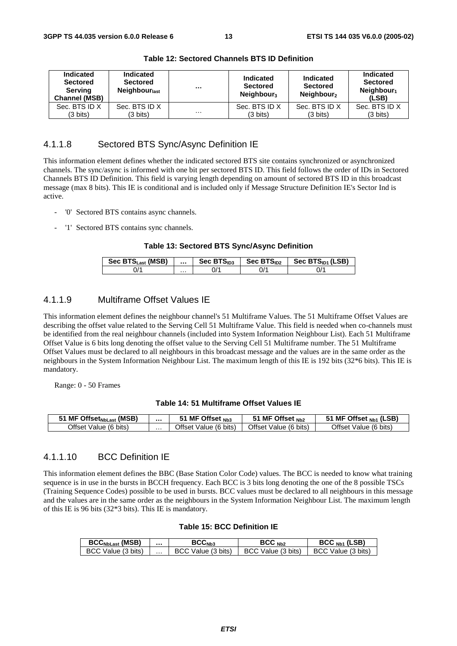| Indicated<br><b>Sectored</b><br>Serving<br><b>Channel (MSB)</b> | <b>Indicated</b><br><b>Sectored</b><br><b>Neighbour</b> <sub>last</sub> |          | <b>Indicated</b><br><b>Sectored</b><br>Neighbour <sub>3</sub> | Indicated<br><b>Sectored</b><br>Neighbour <sub>2</sub> | Indicated<br><b>Sectored</b><br>Neighbour <sub>1</sub><br>(LSB) |
|-----------------------------------------------------------------|-------------------------------------------------------------------------|----------|---------------------------------------------------------------|--------------------------------------------------------|-----------------------------------------------------------------|
| Sec. BTS ID X                                                   | Sec. BTS ID X                                                           |          | Sec. BTS ID X                                                 | Sec. BTS ID X                                          | Sec. BTS ID X                                                   |
| (3 bits)                                                        | (3 bits)                                                                | $\cdots$ | (3 bits)                                                      | (3 bits)                                               | $(3 \text{ bits})$                                              |

**Table 12: Sectored Channels BTS ID Definition** 

### 4.1.1.8 Sectored BTS Sync/Async Definition IE

This information element defines whether the indicated sectored BTS site contains synchronized or asynchronized channels. The sync/async is informed with one bit per sectored BTS ID. This field follows the order of IDs in Sectored Channels BTS ID Definition. This field is varying length depending on amount of sectored BTS ID in this broadcast message (max 8 bits). This IE is conditional and is included only if Message Structure Definition IE's Sector Ind is active.

- '0' Sectored BTS contains async channels.
- '1' Sectored BTS contains sync channels.

#### **Table 13: Sectored BTS Sync/Async Definition**

| Sec BTS <sub>Last</sub> (MSB) |   | Sec $BTS1D3$ | Sec $BTSID2$ | Sec BTS <sub>ID1</sub> (LSB) |
|-------------------------------|---|--------------|--------------|------------------------------|
| $J^{\prime}$                  | . | J/'          |              | J/'                          |

### 4.1.1.9 Multiframe Offset Values IE

This information element defines the neighbour channel's 51 Multiframe Values. The 51 Multiframe Offset Values are describing the offset value related to the Serving Cell 51 Multiframe Value. This field is needed when co-channels must be identified from the real neighbour channels (included into System Information Neighbour List). Each 51 Multiframe Offset Value is 6 bits long denoting the offset value to the Serving Cell 51 Multiframe number. The 51 Multiframe Offset Values must be declared to all neighbours in this broadcast message and the values are in the same order as the neighbours in the System Information Neighbour List. The maximum length of this IE is 192 bits (32\*6 bits). This IE is mandatory.

Range: 0 - 50 Frames

#### **Table 14: 51 Multiframe Offset Values IE**

| <b>MF Offset<sub>NbLast</sub></b> (MSB) |   | MF Offset Nb3         | MF Offset $_{Nb2}$    | MF Offset <sub>Nb1</sub> (LSB) |
|-----------------------------------------|---|-----------------------|-----------------------|--------------------------------|
| Offset Value (6 bits)                   | . | Offset Value (6 bits) | Offset Value (6 bits) | Offset<br>Value (6 bits)       |

### 4.1.1.10 BCC Definition IE

This information element defines the BBC (Base Station Color Code) values. The BCC is needed to know what training sequence is in use in the bursts in BCCH frequency. Each BCC is 3 bits long denoting the one of the 8 possible TSCs (Training Sequence Codes) possible to be used in bursts. BCC values must be declared to all neighbours in this message and the values are in the same order as the neighbours in the System Information Neighbour List. The maximum length of this IE is 96 bits (32\*3 bits). This IE is mandatory.

#### **Table 15: BCC Definition IE**

| <b>BCC<sub>NbLast</sub></b> (MSB) |   | $\mathsf{BCC}_{\mathsf{Nb3}}$ | BCC <sub>Nb2</sub>     | $BCCNb1$ (LSB)     |
|-----------------------------------|---|-------------------------------|------------------------|--------------------|
| BCC Value (3 bits)                | . | Value (3 bits)<br>- BCC       | Value (3 bits)<br>BCC. | BCC Value (3 bits) |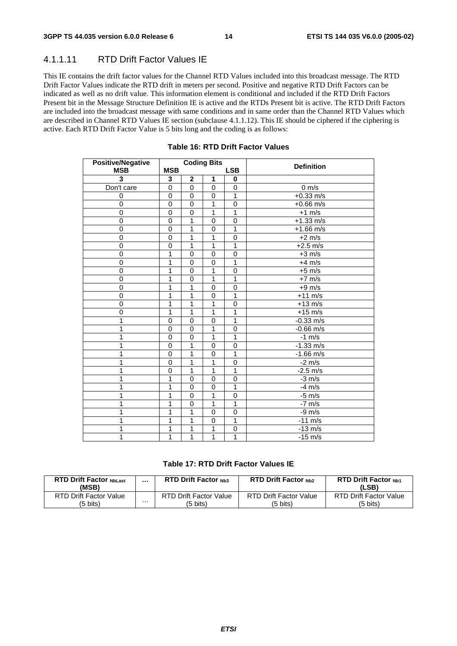### 4.1.1.11 RTD Drift Factor Values IE

This IE contains the drift factor values for the Channel RTD Values included into this broadcast message. The RTD Drift Factor Values indicate the RTD drift in meters per second. Positive and negative RTD Drift Factors can be indicated as well as no drift value. This information element is conditional and included if the RTD Drift Factors Present bit in the Message Structure Definition IE is active and the RTDs Present bit is active. The RTD Drift Factors are included into the broadcast message with same conditions and in same order than the Channel RTD Values which are described in Channel RTD Values IE section (subclause 4.1.1.12). This IE should be ciphered if the ciphering is active. Each RTD Drift Factor Value is 5 bits long and the coding is as follows:

| <b>Positive/Negative</b> |             |                         | <b>Coding Bits</b> |                | <b>Definition</b>   |
|--------------------------|-------------|-------------------------|--------------------|----------------|---------------------|
| <b>MSB</b>               | <b>MSB</b>  |                         |                    | <b>LSB</b>     |                     |
| 3                        | 3           | $\overline{\mathbf{2}}$ | 1                  | 0              |                     |
| Don't care               | $\mathbf 0$ | $\mathbf 0$             | $\mathbf 0$        | 0              | $0 \text{ m/s}$     |
| 0                        | 0           | 0                       | $\mathbf 0$        | $\mathbf{1}$   | $+0.33$ m/s         |
| 0                        | $\mathbf 0$ | $\mathbf 0$             | 1                  | $\mathbf 0$    | $+0.66 \text{ m/s}$ |
| 0                        | $\mathbf 0$ | $\pmb{0}$               | 1                  | 1              | $+1$ m/s            |
| $\mathbf 0$              | 0           | 1                       | 0                  | 0              | $+1.33$ m/s         |
| $\overline{0}$           | $\mathbf 0$ | 1                       | $\overline{0}$     | 1              | $+1.66$ m/s         |
| 0                        | $\mathbf 0$ | 1                       | 1                  | $\mathbf 0$    | $+2$ m/s            |
| $\overline{0}$           | $\mathbf 0$ | $\overline{1}$          | $\overline{1}$     | $\overline{1}$ | $+2.5$ m/s          |
| 0                        | 1           | $\mathbf 0$             | $\mathbf 0$        | $\mathbf 0$    | $+3$ m/s            |
| 0                        | 1           | 0                       | 0                  | $\mathbf{1}$   | $+4$ m/s            |
| $\overline{0}$           | 1           | $\mathbf 0$             | 1                  | 0              | $+5$ m/s            |
| $\mathbf 0$              | 1           | $\mathbf 0$             | 1                  | 1              | $+7$ m/s            |
| $\overline{0}$           | 1           | $\overline{1}$          | $\overline{0}$     | 0              | $+9$ m/s            |
| 0                        | 1           | 1                       | $\mathbf 0$        | 1              | $+11$ m/s           |
| 0                        | 1           | 1                       | 1                  | 0              | $+13$ m/s           |
| $\overline{0}$           | 1           | 1                       | 1                  | 1              | $+15$ m/s           |
| 1                        | $\mathbf 0$ | $\mathbf 0$             | $\overline{0}$     | 1              | $-0.33$ m/s         |
| 1                        | 0           | 0                       | 1                  | $\mathbf 0$    | $-0.66$ m/s         |
| 1                        | $\mathbf 0$ | $\mathbf 0$             | 1                  | 1              | $-1$ m/s            |
| 1                        | $\Omega$    | 1                       | 0                  | $\mathbf{0}$   | $-1.33$ m/s         |
| 1                        | $\mathbf 0$ | 1                       | $\mathbf 0$        | 1              | $-1.66 \text{ m/s}$ |
| 1                        | $\mathbf 0$ | 1                       | 1                  | 0              | $-2$ m/s            |
| 1                        | 0           | 1                       | 1                  | 1              | $-2.5$ m/s          |
| 1                        | 1           | $\pmb{0}$               | $\mathbf 0$        | $\mathbf 0$    | $-3$ m/s            |
| 1                        | 1           | 0                       | 0                  | 1              | $-4$ m/s            |
| 1                        | 1           | $\mathbf 0$             | 1                  | $\mathbf 0$    | $-5$ m/s            |
| 1                        | 1           | $\mathbf 0$             | $\overline{1}$     | 1              | $-7$ m/s            |
| 1                        | 1           | 1                       | $\mathbf 0$        | $\mathbf 0$    | $-9 \text{ m/s}$    |
| 1                        | 1           | 1                       | $\mathbf 0$        | $\mathbf 1$    | $-11$ m/s           |
| 1                        | 1           | 1                       | 1                  | $\mathbf 0$    | $-13$ m/s           |
| 1                        | 1           | 1                       | $\mathbf{1}$       | 1              | $-15$ m/s           |

### **Table 16: RTD Drift Factor Values**

### **Table 17: RTD Drift Factor Values IE**

| <b>RTD Drift Factor NbLast</b><br>(MSB) |   | <b>RTD Drift Factor Nh3</b>   | <b>RTD Drift Factor Nh2</b> | <b>RTD Drift Factor Nb1</b><br>(LSB) |
|-----------------------------------------|---|-------------------------------|-----------------------------|--------------------------------------|
| RTD Drift Factor Value                  | . | <b>RTD Drift Factor Value</b> | RTD Drift Factor Value      | <b>RTD Drift Factor Value</b>        |
| (5 bits)                                |   | (5 bits)                      | 5 bits)                     | (5 bits)                             |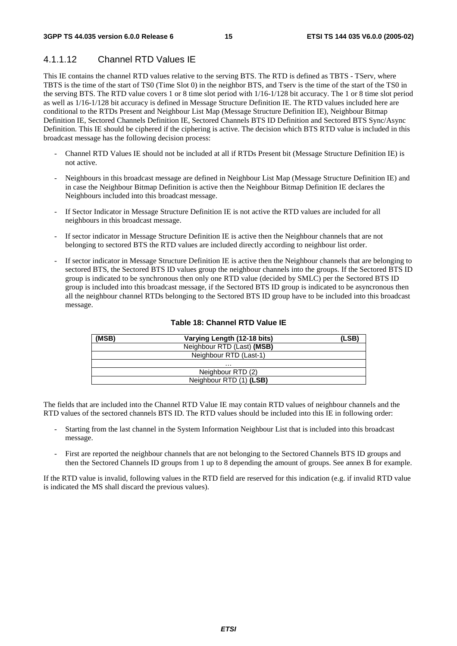# 4.1.1.12 Channel RTD Values IE

This IE contains the channel RTD values relative to the serving BTS. The RTD is defined as TBTS - TServ, where TBTS is the time of the start of TS0 (Time Slot 0) in the neighbor BTS, and Tserv is the time of the start of the TS0 in the serving BTS. The RTD value covers 1 or 8 time slot period with 1/16-1/128 bit accuracy. The 1 or 8 time slot period as well as 1/16-1/128 bit accuracy is defined in Message Structure Definition IE. The RTD values included here are conditional to the RTDs Present and Neighbour List Map (Message Structure Definition IE), Neighbour Bitmap Definition IE, Sectored Channels Definition IE, Sectored Channels BTS ID Definition and Sectored BTS Sync/Async Definition. This IE should be ciphered if the ciphering is active. The decision which BTS RTD value is included in this broadcast message has the following decision process:

- Channel RTD Values IE should not be included at all if RTDs Present bit (Message Structure Definition IE) is not active.
- Neighbours in this broadcast message are defined in Neighbour List Map (Message Structure Definition IE) and in case the Neighbour Bitmap Definition is active then the Neighbour Bitmap Definition IE declares the Neighbours included into this broadcast message.
- If Sector Indicator in Message Structure Definition IE is not active the RTD values are included for all neighbours in this broadcast message.
- If sector indicator in Message Structure Definition IE is active then the Neighbour channels that are not belonging to sectored BTS the RTD values are included directly according to neighbour list order.
- If sector indicator in Message Structure Definition IE is active then the Neighbour channels that are belonging to sectored BTS, the Sectored BTS ID values group the neighbour channels into the groups. If the Sectored BTS ID group is indicated to be synchronous then only one RTD value (decided by SMLC) per the Sectored BTS ID group is included into this broadcast message, if the Sectored BTS ID group is indicated to be asyncronous then all the neighbour channel RTDs belonging to the Sectored BTS ID group have to be included into this broadcast message.

| (MSB) | Varying Length (12-18 bits) | (LSB) |
|-------|-----------------------------|-------|
|       | Neighbour RTD (Last) (MSB)  |       |
|       | Neighbour RTD (Last-1)      |       |
|       | .                           |       |
|       | Neighbour RTD (2)           |       |
|       | Neighbour RTD (1) (LSB)     |       |

### **Table 18: Channel RTD Value IE**

The fields that are included into the Channel RTD Value IE may contain RTD values of neighbour channels and the RTD values of the sectored channels BTS ID. The RTD values should be included into this IE in following order:

- Starting from the last channel in the System Information Neighbour List that is included into this broadcast message.
- First are reported the neighbour channels that are not belonging to the Sectored Channels BTS ID groups and then the Sectored Channels ID groups from 1 up to 8 depending the amount of groups. See annex B for example.

If the RTD value is invalid, following values in the RTD field are reserved for this indication (e.g. if invalid RTD value is indicated the MS shall discard the previous values).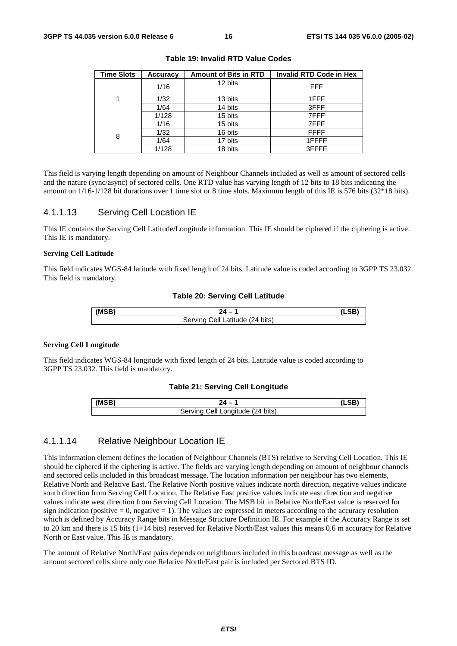| <b>Time Slots</b> | Accuracy | <b>Amount of Bits in RTD</b> | <b>Invalid RTD Code in Hex</b> |
|-------------------|----------|------------------------------|--------------------------------|
|                   | 1/16     | 12 bits                      | <b>FFF</b>                     |
|                   | 1/32     | 13 bits                      | 1FFF                           |
|                   | 1/64     | 14 bits                      | 3FFF                           |
|                   | 1/128    | 15 bits                      | 7FFF                           |
|                   | 1/16     | 15 bits                      | 7FFF                           |
| 8                 | 1/32     | 16 bits                      | <b>FFFF</b>                    |
|                   | 1/64     | 17 bits                      | 1FFFF                          |
|                   | 1/128    | 18 bits                      | 3FFFF                          |

**Table 19: Invalid RTD Value Codes** 

This field is varying length depending on amount of Neighbour Channels included as well as amount of sectored cells and the nature (sync/async) of sectored cells. One RTD value has varying length of 12 bits to 18 bits indicating the amount on 1/16-1/128 bit durations over 1 time slot or 8 time slots. Maximum length of this IE is 576 bits (32\*18 bits).

### 4.1.1.13 Serving Cell Location IE

This IE contains the Serving Cell Latitude/Longitude information. This IE should be ciphered if the ciphering is active. This IE is mandatory.

#### **Serving Cell Latitude**

This field indicates WGS-84 latitude with fixed length of 24 bits. Latitude value is coded according to 3GPP TS 23.032. This field is mandatory.

#### **Table 20: Serving Cell Latitude**

| (MCR) |                                                      |  |
|-------|------------------------------------------------------|--|
|       | $(24 \text{ bits})$<br>Servina<br>`atitude .<br>اا∆∶ |  |

#### **Serving Cell Longitude**

This field indicates WGS-84 longitude with fixed length of 24 bits. Latitude value is coded according to 3GPP TS 23.032. This field is mandatory.

#### **Table 21: Serving Cell Longitude**

| (MSB) |                                                      |  |
|-------|------------------------------------------------------|--|
|       | اام`<br><sup>''</sup> Longitude (24 bits)<br>Sarvinc |  |

### 4.1.1.14 Relative Neighbour Location IE

This information element defines the location of Neighbour Channels (BTS) relative to Serving Cell Location. This IE should be ciphered if the ciphering is active. The fields are varying length depending on amount of neighbour channels and sectored cells included in this broadcast message. The location information per neighbour has two elements, Relative North and Relative East. The Relative North positive values indicate north direction, negative values indicate south direction from Serving Cell Location. The Relative East positive values indicate east direction and negative values indicate west direction from Serving Cell Location. The MSB bit in Relative North/East value is reserved for sign indication (positive  $= 0$ , negative  $= 1$ ). The values are expressed in meters according to the accuracy resolution which is defined by Accuracy Range bits in Message Structure Definition IE. For example if the Accuracy Range is set to 20 km and there is 15 bits (1+14 bits) reserved for Relative North/East values this means 0.6 m accuracy for Relative North or East value. This IE is mandatory.

The amount of Relative North/East pairs depends on neighbours included in this broadcast message as well as the amount sectored cells since only one Relative North/East pair is included per Sectored BTS ID.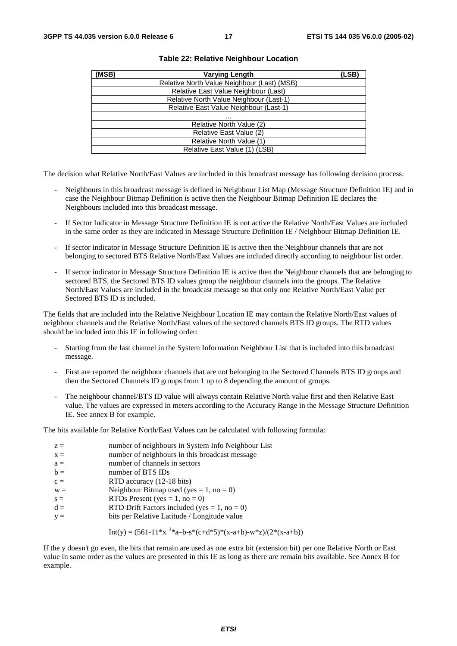| (MSB) | <b>Varying Length</b>                       | (LSB) |
|-------|---------------------------------------------|-------|
|       | Relative North Value Neighbour (Last) (MSB) |       |
|       | Relative East Value Neighbour (Last)        |       |
|       | Relative North Value Neighbour (Last-1)     |       |
|       | Relative East Value Neighbour (Last-1)      |       |
|       | .                                           |       |
|       | Relative North Value (2)                    |       |
|       | Relative East Value (2)                     |       |
|       | Relative North Value (1)                    |       |
|       | Relative East Value (1) (LSB)               |       |

#### **Table 22: Relative Neighbour Location**

The decision what Relative North/East Values are included in this broadcast message has following decision process:

- Neighbours in this broadcast message is defined in Neighbour List Map (Message Structure Definition IE) and in case the Neighbour Bitmap Definition is active then the Neighbour Bitmap Definition IE declares the Neighbours included into this broadcast message.
- If Sector Indicator in Message Structure Definition IE is not active the Relative North/East Values are included in the same order as they are indicated in Message Structure Definition IE / Neighbour Bitmap Definition IE.
- If sector indicator in Message Structure Definition IE is active then the Neighbour channels that are not belonging to sectored BTS Relative North/East Values are included directly according to neighbour list order.
- If sector indicator in Message Structure Definition IE is active then the Neighbour channels that are belonging to sectored BTS, the Sectored BTS ID values group the neighbour channels into the groups. The Relative North/East Values are included in the broadcast message so that only one Relative North/East Value per Sectored BTS ID is included.

The fields that are included into the Relative Neighbour Location IE may contain the Relative North/East values of neighbour channels and the Relative North/East values of the sectored channels BTS ID groups. The RTD values should be included into this IE in following order:

- Starting from the last channel in the System Information Neighbour List that is included into this broadcast message.
- First are reported the neighbour channels that are not belonging to the Sectored Channels BTS ID groups and then the Sectored Channels ID groups from 1 up to 8 depending the amount of groups.
- The neighbour channel/BTS ID value will always contain Relative North value first and then Relative East value. The values are expressed in meters according to the Accuracy Range in the Message Structure Definition IE. See annex B for example.

The bits available for Relative North/East Values can be calculated with following formula:

| $z =$<br>$X =$ | number of neighbours in System Info Neighbour List<br>number of neighbours in this broadcast message |
|----------------|------------------------------------------------------------------------------------------------------|
| $a =$          | number of channels in sectors                                                                        |
| $b =$          | number of BTS IDs                                                                                    |
| $c =$          | RTD accuracy (12-18 bits)                                                                            |
| $W =$          | Neighbour Bitmap used (yes = 1, no = 0)                                                              |
| $s =$          | RTDs Present (yes = $1$ , no = 0)                                                                    |
| $d =$          | RTD Drift Factors included (yes = $1$ , no = 0)                                                      |
| $V =$          | bits per Relative Latitude / Longitude value                                                         |

Int(y) = 
$$
(561-11*x^{-3}*a-b-s*(c+d*5)*(x-a+b)-w*z)/(2*(x-a+b))
$$

If the y doesn't go even, the bits that remain are used as one extra bit (extension bit) per one Relative North or East value in same order as the values are presented in this IE as long as there are remain bits available. See Annex B for example.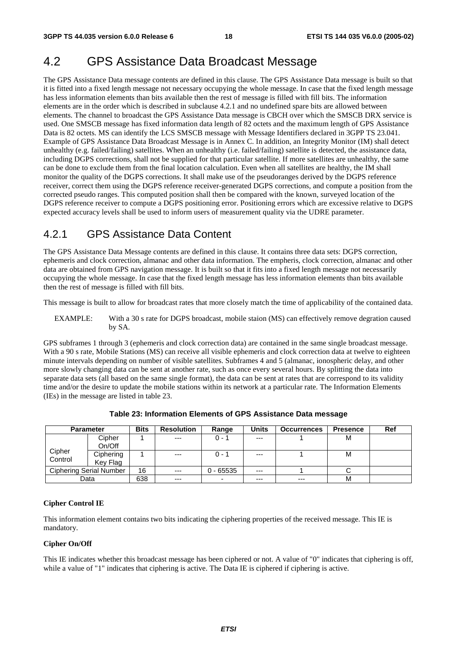# 4.2 GPS Assistance Data Broadcast Message

The GPS Assistance Data message contents are defined in this clause. The GPS Assistance Data message is built so that it is fitted into a fixed length message not necessary occupying the whole message. In case that the fixed length message has less information elements than bits available then the rest of message is filled with fill bits. The information elements are in the order which is described in subclause 4.2.1 and no undefined spare bits are allowed between elements. The channel to broadcast the GPS Assistance Data message is CBCH over which the SMSCB DRX service is used. One SMSCB message has fixed information data length of 82 octets and the maximum length of GPS Assistance Data is 82 octets. MS can identify the LCS SMSCB message with Message Identifiers declared in 3GPP TS 23.041. Example of GPS Assistance Data Broadcast Message is in Annex C. In addition, an Integrity Monitor (IM) shall detect unhealthy (e.g. failed/failing) satellites. When an unhealthy (i.e. failed/failing) satellite is detected, the assistance data, including DGPS corrections, shall not be supplied for that particular satellite. If more satellites are unhealthy, the same can be done to exclude them from the final location calculation. Even when all satellites are healthy, the IM shall monitor the quality of the DGPS corrections. It shall make use of the pseudoranges derived by the DGPS reference receiver, correct them using the DGPS reference receiver-generated DGPS corrections, and compute a position from the corrected pseudo ranges. This computed position shall then be compared with the known, surveyed location of the DGPS reference receiver to compute a DGPS positioning error. Positioning errors which are excessive relative to DGPS expected accuracy levels shall be used to inform users of measurement quality via the UDRE parameter.

# 4.2.1 GPS Assistance Data Content

The GPS Assistance Data Message contents are defined in this clause. It contains three data sets: DGPS correction, ephemeris and clock correction, almanac and other data information. The empheris, clock correction, almanac and other data are obtained from GPS navigation message. It is built so that it fits into a fixed length message not necessarily occupying the whole message. In case that the fixed length message has less information elements than bits available then the rest of message is filled with fill bits.

This message is built to allow for broadcast rates that more closely match the time of applicability of the contained data.

EXAMPLE: With a 30 s rate for DGPS broadcast, mobile staion (MS) can effectively remove degration caused by SA.

GPS subframes 1 through 3 (ephemeris and clock correction data) are contained in the same single broadcast message. With a 90 s rate, Mobile Stations (MS) can receive all visible ephemeris and clock correction data at twelve to eighteen minute intervals depending on number of visible satellites. Subframes 4 and 5 (almanac, ionospheric delay, and other more slowly changing data can be sent at another rate, such as once every several hours. By splitting the data into separate data sets (all based on the same single format), the data can be sent at rates that are correspond to its validity time and/or the desire to update the mobile stations within its network at a particular rate. The Information Elements (IEs) in the message are listed in table 23.

| <b>Parameter</b> |                                | <b>Bits</b> | <b>Resolution</b> | Range       | <b>Units</b> | <b>Occurrences</b> | Presence | Ref |
|------------------|--------------------------------|-------------|-------------------|-------------|--------------|--------------------|----------|-----|
|                  | Cipher                         |             | $---$             | $0 - 1$     | $---$        |                    | м        |     |
|                  | On/Off                         |             |                   |             |              |                    |          |     |
| Cipher           | Ciphering                      |             | $---$             | $0 - 1$     | $---$        |                    | м        |     |
| Control          | Key Flag                       |             |                   |             |              |                    |          |     |
|                  | <b>Ciphering Serial Number</b> | 16          | $---$             | $0 - 65535$ | $---$        |                    |          |     |
|                  | Data                           | 638         | $--$              | -           | $---$        | $---$              | М        |     |

**Table 23: Information Elements of GPS Assistance Data message** 

#### **Cipher Control IE**

This information element contains two bits indicating the ciphering properties of the received message. This IE is mandatory.

#### **Cipher On/Off**

This IE indicates whether this broadcast message has been ciphered or not. A value of "0" indicates that ciphering is off, while a value of "1" indicates that ciphering is active. The Data IE is ciphered if ciphering is active.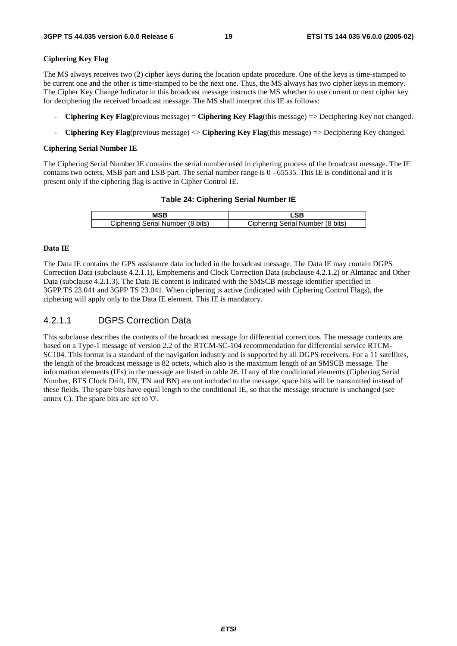#### **Ciphering Key Flag**

The MS always receives two (2) cipher keys during the location update procedure. One of the keys is time-stamped to be current one and the other is time-stamped to be the next one. Thus, the MS always has two cipher keys in memory. The Cipher Key Change Indicator in this broadcast message instructs the MS whether to use current or next cipher key for deciphering the received broadcast message. The MS shall interpret this IE as follows:

- **Ciphering Key Flag**(previous message) = **Ciphering Key Flag**(this message) => Deciphering Key not changed.
- **Ciphering Key Flag**(previous message) <> **Ciphering Key Flag**(this message) => Deciphering Key changed.

#### **Ciphering Serial Number IE**

The Ciphering Serial Number IE contains the serial number used in ciphering process of the broadcast message. The IE contains two octets, MSB part and LSB part. The serial number range is 0 - 65535. This IE is conditional and it is present only if the ciphering flag is active in Cipher Control IE.

#### **Table 24: Ciphering Serial Number IE**

|                                  | 9.                               |
|----------------------------------|----------------------------------|
| Ciphering Serial Number (8 bits) | Ciphering Serial Number (8 bits) |

#### **Data IE**

The Data IE contains the GPS assistance data included in the broadcast message. The Data IE may contain DGPS Correction Data (subclause 4.2.1.1), Emphemeris and Clock Correction Data (subclause 4.2.1.2) or Almanac and Other Data (subclause 4.2.1.3). The Data IE content is indicated with the SMSCB message identifier specified in 3GPP TS 23.041 and 3GPP TS 23.041. When ciphering is active (indicated with Ciphering Control Flags), the ciphering will apply only to the Data IE element. This IE is mandatory.

### 4.2.1.1 DGPS Correction Data

This subclause describes the contents of the broadcast message for differential corrections. The message contents are based on a Type-1 message of version 2.2 of the RTCM-SC-104 recommendation for differential service RTCM-SC104. This format is a standard of the navigation industry and is supported by all DGPS receivers. For a 11 satellites, the length of the broadcast message is 82 octets, which also is the maximum length of an SMSCB message. The information elements (IEs) in the message are listed in table 26. If any of the conditional elements (Ciphering Serial Number, BTS Clock Drift, FN, TN and BN) are not included to the message, spare bits will be transmitted instead of these fields. The spare bits have equal length to the conditional IE, so that the message structure is unchanged (see annex C). The spare bits are set to '0'.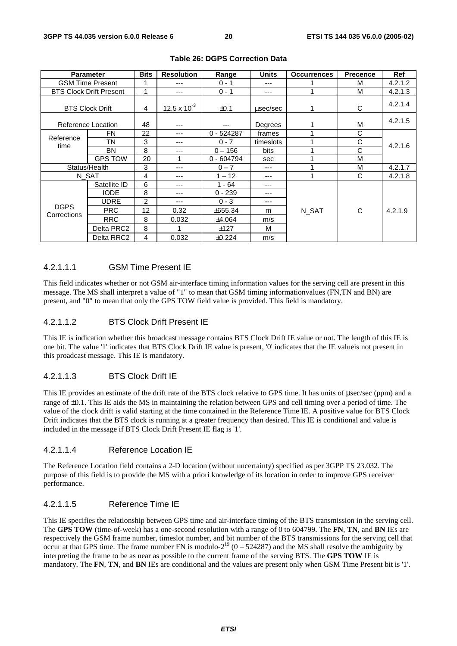|             | <b>Parameter</b>               | <b>Bits</b>    | <b>Resolution</b> | Range        | <b>Units</b> | <b>Occurrences</b> | <b>Precence</b> | <b>Ref</b> |
|-------------|--------------------------------|----------------|-------------------|--------------|--------------|--------------------|-----------------|------------|
|             | <b>GSM Time Present</b>        |                | ---               | $0 - 1$      | ---          |                    | M               | 4.2.1.2    |
|             | <b>BTS Clock Drift Present</b> | 1              | ---               | $0 - 1$      | ---          |                    | M               | 4.2.1.3    |
|             | <b>BTS Clock Drift</b>         | 4              | 12.5 x $10^{-3}$  | $\pm 0.1$    | usec/sec     |                    | C               | 4.2.1.4    |
|             | Reference Location             | 48             | ---               | ---          | Degrees      |                    | M               | 4.2.1.5    |
| Reference   | <b>FN</b>                      | 22             | ---               | $0 - 524287$ | frames       |                    | С               |            |
| time        | TN                             | 3              | ---               | $0 - 7$      | timeslots    |                    | С               | 4.2.1.6    |
|             | <b>BN</b>                      | 8              | ---               | $0 - 156$    | bits         |                    | C               |            |
|             | <b>GPS TOW</b>                 | 20             | 1                 | $0 - 604794$ | sec          |                    | M               |            |
|             | Status/Health                  | 3              | ---               | $0 - 7$      | ---          |                    | M               | 4.2.1.7    |
|             | N SAT                          | 4              | ---               | $1 - 12$     | ---          |                    | C               | 4.2.1.8    |
|             | Satellite ID                   | 6              | ---               | $1 - 64$     | ---          |                    |                 |            |
|             | <b>IODE</b>                    | 8              | ---               | $0 - 239$    | ---          |                    |                 |            |
|             | <b>UDRE</b>                    | $\overline{c}$ | ---               | $0 - 3$      | ---          |                    |                 |            |
| <b>DGPS</b> | <b>PRC</b>                     | 12             | 0.32              | ±655.34      | m            | N SAT              | C               | 4.2.1.9    |
| Corrections | <b>RRC</b>                     | 8              | 0.032             | ±4.064       | m/s          |                    |                 |            |
|             | Delta PRC2                     | 8              | 1                 | ±127         | М            |                    |                 |            |
|             | Delta RRC2                     | 4              | 0.032             | ±0.224       | m/s          |                    |                 |            |

#### **Table 26: DGPS Correction Data**

#### 4.2.1.1.1 GSM Time Present IE

This field indicates whether or not GSM air-interface timing information values for the serving cell are present in this message. The MS shall interpret a value of "1" to mean that GSM timing informationvalues (FN,TN and BN) are present, and "0" to mean that only the GPS TOW field value is provided. This field is mandatory.

#### 4.2.1.1.2 BTS Clock Drift Present IE

This IE is indication whether this broadcast message contains BTS Clock Drift IE value or not. The length of this IE is one bit. The value '1' indicates that BTS Clock Drift IE value is present, '0' indicates that the IE valueis not present in this proadcast message. This IE is mandatory.

#### 4.2.1.1.3 BTS Clock Drift IE

This IE provides an estimate of the drift rate of the BTS clock relative to GPS time. It has units of µsec/sec (ppm) and a range of ±0.1. This IE aids the MS in maintaining the relation between GPS and cell timing over a period of time. The value of the clock drift is valid starting at the time contained in the Reference Time IE. A positive value for BTS Clock Drift indicates that the BTS clock is running at a greater frequency than desired. This IE is conditional and value is included in the message if BTS Clock Drift Present IE flag is '1'.

#### 4.2.1.1.4 Reference Location IE

The Reference Location field contains a 2-D location (without uncertainty) specified as per 3GPP TS 23.032. The purpose of this field is to provide the MS with a priori knowledge of its location in order to improve GPS receiver performance.

### 4.2.1.1.5 Reference Time IE

This IE specifies the relationship between GPS time and air-interface timing of the BTS transmission in the serving cell. The **GPS TOW** (time-of-week) has a one-second resolution with a range of 0 to 604799. The **FN**, **TN**, and **BN** IEs are respectively the GSM frame number, timeslot number, and bit number of the BTS transmissions for the serving cell that occur at that GPS time. The frame number FN is modulo- $2^{19}$  (0 – 524287) and the MS shall resolve the ambiguity by interpreting the frame to be as near as possible to the current frame of the serving BTS. The **GPS TOW** IE is mandatory. The **FN**, **TN**, and **BN** IEs are conditional and the values are present only when GSM Time Present bit is '1'.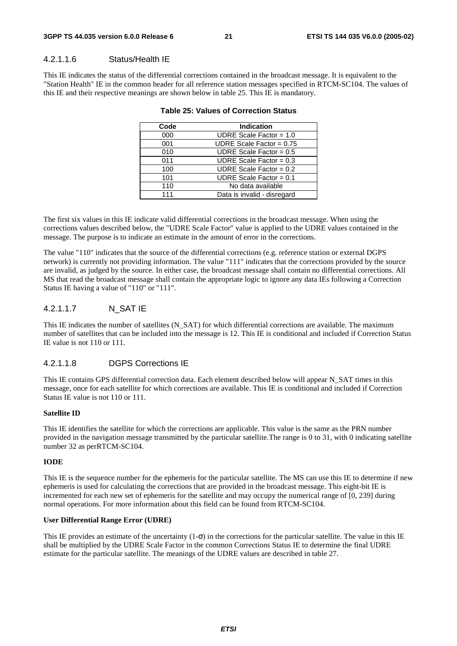#### 4.2.1.1.6 Status/Health IE

This IE indicates the status of the differential corrections contained in the broadcast message. It is equivalent to the "Station Health" IE in the common header for all reference station messages specified in RTCM-SC104. The values of this IE and their respective meanings are shown below in table 25. This IE is mandatory.

| Code | <b>Indication</b>           |
|------|-----------------------------|
| 000  | UDRE Scale Factor = $1.0$   |
| 001  | UDRE Scale Factor = $0.75$  |
| 010  | UDRE Scale Factor = $0.5$   |
| 011  | UDRE Scale Factor = $0.3$   |
| 100  | UDRE Scale Factor = $0.2$   |
| 101  | UDRE Scale Factor = $0.1$   |
| 110  | No data available           |
| 111  | Data is invalid - disregard |
|      |                             |

#### **Table 25: Values of Correction Status**

The first six values in this IE indicate valid differential corrections in the broadcast message. When using the corrections values described below, the "UDRE Scale Factor" value is applied to the UDRE values contained in the message. The purpose is to indicate an estimate in the amount of error in the corrections.

The value "110" indicates that the source of the differential corrections (e.g. reference station or external DGPS network) is currently not providing information. The value "111" indicates that the corrections provided by the source are invalid, as judged by the source. In either case, the broadcast message shall contain no differential corrections. All MS that read the broadcast message shall contain the appropriate logic to ignore any data IEs following a Correction Status IE having a value of "110" or "111".

### 4.2.1.1.7 N\_SAT IE

This IE indicates the number of satellites (N\_SAT) for which differential corrections are available. The maximum number of satellites that can be included into the message is 12. This IE is conditional and included if Correction Status IE value is not 110 or 111.

#### 4.2.1.1.8 DGPS Corrections IE

This IE contains GPS differential correction data. Each element described below will appear N\_SAT times in this message, once for each satellite for which corrections are available. This IE is conditional and included if Correction Status IE value is not 110 or 111.

#### **Satellite ID**

This IE identifies the satellite for which the corrections are applicable. This value is the same as the PRN number provided in the navigation message transmitted by the particular satellite.The range is 0 to 31, with 0 indicating satellite number 32 as perRTCM-SC104.

#### **IODE**

This IE is the sequence number for the ephemeris for the particular satellite. The MS can use this IE to determine if new ephemeris is used for calculating the corrections that are provided in the broadcast message. This eight-bit IE is incremented for each new set of ephemeris for the satellite and may occupy the numerical range of [0, 239] during normal operations. For more information about this field can be found from RTCM-SC104.

#### **User Differential Range Error (UDRE)**

This IE provides an estimate of the uncertainty  $(1-\sigma)$  in the corrections for the particular satellite. The value in this IE shall be multiplied by the UDRE Scale Factor in the common Corrections Status IE to determine the final UDRE estimate for the particular satellite. The meanings of the UDRE values are described in table 27.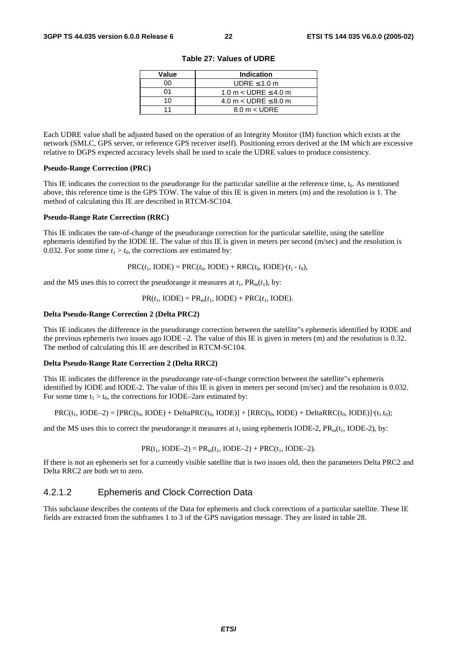| Value | <b>Indication</b>             |
|-------|-------------------------------|
| n۵    | UDRE $\leq 1.0$ m             |
| ሰ1    | 1.0 m $<$ UDRE $\leq$ 4.0 m   |
| 1 በ   | 4.0 m $<$ UDRE $\leq$ 8.0 m   |
|       | $8.0 \text{ m} < \text{UDRE}$ |

**Table 27: Values of UDRE** 

Each UDRE value shall be adjusted based on the operation of an Integrity Monitor (IM) function which exists at the network (SMLC, GPS server, or reference GPS receiver itself). Positioning errors derived at the IM which are excessive relative to DGPS expected accuracy levels shall be used to scale the UDRE values to produce consistency.

#### **Pseudo-Range Correction (PRC)**

This IE indicates the correction to the pseudorange for the particular satellite at the reference time, *t*0. As mentioned above, this reference time is the GPS TOW. The value of this IE is given in meters (m) and the resolution is 1. The method of calculating this IE are described in RTCM-SC104.

#### **Pseudo-Range Rate Correction (RRC)**

This IE indicates the rate-of-change of the pseudorange correction for the particular satellite, using the satellite ephemeris identified by the IODE IE. The value of this IE is given in meters per second (m/sec) and the resolution is 0.032. For some time  $t_1 > t_0$ , the corrections are estimated by:

 $PRC(t_1, IODE) = PRC(t_0, IODE) + RRC(t_0, IODE) \cdot (t_1 - t_0),$ 

and the MS uses this to correct the pseudorange it measures at  $t_1$ ,  $PR_m(t_1)$ , by:

 $PR(t_1, \text{IODE}) = PR_m(t_1, \text{IODE}) + PRC(t_1, \text{IODE}).$ 

#### **Delta Pseudo-Range Correction 2 (Delta PRC2)**

This IE indicates the difference in the pseudorange correction between the satellite"s ephemeris identified by IODE and the previous ephemeris two issues ago IODE –2. The value of this IE is given in meters (m) and the resolution is 0.32. The method of calculating this IE are described in RTCM-SC104.

#### **Delta Pseudo-Range Rate Correction 2 (Delta RRC2)**

This IE indicates the difference in the pseudorange rate-of-change correction between the satellite"s ephemeris identified by IODE and IODE-2. The value of this IE is given in meters per second (m/sec) and the resolution is 0.032. For some time  $t_1 > t_0$ , the corrections for IODE–2are estimated by:

$$
PRC(t_1, \text{IODE-2}) = [PRC(t_0, \text{IODE}) + \text{Delta}PRC(t_0, \text{IODE})] + [RRC(t_0, \text{IODE}) + \text{Delta}RRC(t_0, \text{IODE}) + (t_1, t_0);
$$

and the MS uses this to correct the pseudorange it measures at  $t_1$  using ephemeris IODE-2, PR<sub>m</sub>( $t_1$ , IODE-2), by:

$$
PR(t_1, IODE-2) = PR_m(t_1, IODE-2) + PRC(t_1, IODE-2).
$$

If there is not an ephemeris set for a currently visible satellite that is two issues old, then the parameters Delta PRC2 and Delta RRC2 are both set to zero.

### 4.2.1.2 Ephemeris and Clock Correction Data

This subclause describes the contents of the Data for ephemeris and clock corrections of a particular satellite. These IE fields are extracted from the subframes 1 to 3 of the GPS navigation message. They are listed in table 28.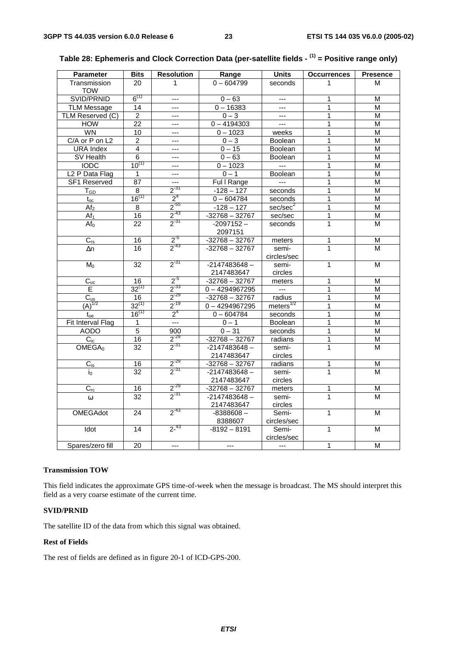| $0 - 604799$<br>Transmission<br>20<br>1<br>1<br>M<br>seconds<br><b>TOW</b><br>$6^{(1)}$<br>SVID/PRNID<br>$0 - 63$<br>1<br>M<br>$---$<br>$\overline{a}$<br>$0 - 16383$<br>1<br>M<br><b>TLM Message</b><br>14<br>$---$<br>$---$<br>TLM Reserved (C)<br>$\overline{2}$<br>$0 - 3$<br>1<br>M<br>$---$<br>$---$<br>$\overline{22}$<br>$0 - 4194303$<br>1<br><b>HOW</b><br>M<br>$\overline{a}$<br>$---$<br><b>WN</b><br>$\overline{10}$<br>$0 - 1023$<br>1<br>$\overline{\mathsf{M}}$<br>weeks<br>---<br>C/A or P on L2<br>1<br>2<br>$0 - 3$<br><b>Boolean</b><br>М<br>---<br>4<br>$0 - 15$<br>1<br><b>URA</b> Index<br>M<br><b>Boolean</b><br>$---$<br>1<br>SV Health<br>6<br>$0 - 63$<br>Boolean<br>M<br>$\overline{a}$<br>$10^{(1)}$<br><b>IODC</b><br>$0 - 1023$<br>1<br>$\overline{M}$<br>$\sim$<br>---<br>L <sub>2</sub> P Data Flag<br>$0 - 1$<br>1<br>1<br>$\overline{a}$<br>Boolean<br>M<br><b>SF1 Reserved</b><br>87<br>Ful I Range<br>1<br>M<br>$---$<br>$---$<br>$2^{31}$<br>$\overline{1}$<br>$\overline{8}$<br>$-128 - 127$<br>$\overline{\mathsf{M}}$<br>$T_{GD}$<br>seconds<br>$16^{(1)}$<br>2 <sup>4</sup><br>$\overline{1}$<br>$0 - 604784$<br>seconds<br>M<br>$t_{oc}$<br>$2^{-55}$<br>$-128 - 127$<br>sec/sec <sup>2</sup><br>1<br>Af <sub>2</sub><br>8<br>M<br>$2^{-43}$<br>16<br>$-32768 - 32767$<br>1<br>$\overline{M}$<br>Af <sub>1</sub><br>sec/sec<br>$2^{-31}$<br>$\overline{22}$<br>$\mathbf{1}$<br>$-2097152 -$<br>Af <sub>0</sub><br>M<br>seconds<br>2097151<br>$2^{5}$<br>$C_{rs}$<br>$-32768 - 32767$<br>16<br>meters<br>1<br>M<br>$\frac{1}{2}$ <sup>-43</sup><br>16<br>$-32768 - 32767$<br>$\mathbf{1}$<br>semi-<br>М<br>$\Delta n$<br>circles/sec<br>$2^{31}$<br>$-2147483648 -$<br>$M_0$<br>32<br>1<br>M<br>semi-<br>2147483647<br>circles<br>$2^{5}$<br>$-32768 - 32767$<br>$C_{uc}$<br>16<br>meters<br>1<br>М<br>$2^{-33}$<br>$32^{(1)}$<br>E<br>$0 - 4294967295$<br>$\overline{a}$<br>1<br>M<br>$2^{-29}$<br>$\overline{C_{us}}$<br>16<br>$-32768 - 32767$<br>1<br>$\overline{\mathsf{M}}$<br>radius<br>$\overline{(A)}^{1/2}$<br>$2^{-19}$<br>$32^{(1)}$<br>meters $^{1/2}$<br>1<br>$0 - 4294967295$<br>M<br>$16^{(1)}$<br>2 <sup>4</sup><br>$0 - 604784$<br>$\overline{1}$<br>seconds<br>M<br>$t_{oe}$<br>Fit Interval Flag<br>$\overline{a}$<br>$0 - 1$<br>1<br>1<br>Boolean<br>M<br>$\overline{5}$<br>1<br><b>AODO</b><br>900<br>$0 - 31$<br>seconds<br>M<br>$2^{-29}$<br>16<br>$\overline{1}$<br>$\overline{C_{ic}}$<br>$-32768 - 32767$<br>$\overline{M}$<br>radians<br>$2^{-31}$<br>$\mathbf{1}$<br>$\overline{32}$<br>$-2147483648 -$<br>OMEGA <sub>0</sub><br>semi-<br>M<br>2147483647<br>circles<br>$\frac{2^{29}}{2^{31}}$<br>$-32768 - 32767$<br>radians<br>16<br>1<br>М<br>$C_{is}$<br>$\overline{32}$<br>1<br>$-2147483648 -$<br>semi-<br>M<br>io<br>2147483647<br>circles<br>$2^{-29}$<br>$C_{rc}$<br>16<br>$-32768 - 32767$<br>1<br>M<br>meters<br>$2^{-31}$<br>$\mathbf{1}$<br>32<br>$-2147483648 -$<br>semi-<br>M<br>$\omega$<br>2147483647<br>circles<br>$2^{-43}$<br><b>OMEGAdot</b><br>24<br>$-8388608-$<br>Semi-<br>1<br>м<br>8388607<br>circles/sec<br>$2^{-43}$<br>14<br>$-8192 - 8191$<br>$\mathbf{1}$<br>Idot<br>Semi-<br>M<br>circles/sec<br>$\mathbf{1}$<br>$\overline{a}$<br>$\overline{a}$<br>--- | <b>Parameter</b> | <b>Bits</b>     | <b>Resolution</b> | Range | <b>Units</b> | <b>Occurrences</b> | <b>Presence</b>         |
|------------------------------------------------------------------------------------------------------------------------------------------------------------------------------------------------------------------------------------------------------------------------------------------------------------------------------------------------------------------------------------------------------------------------------------------------------------------------------------------------------------------------------------------------------------------------------------------------------------------------------------------------------------------------------------------------------------------------------------------------------------------------------------------------------------------------------------------------------------------------------------------------------------------------------------------------------------------------------------------------------------------------------------------------------------------------------------------------------------------------------------------------------------------------------------------------------------------------------------------------------------------------------------------------------------------------------------------------------------------------------------------------------------------------------------------------------------------------------------------------------------------------------------------------------------------------------------------------------------------------------------------------------------------------------------------------------------------------------------------------------------------------------------------------------------------------------------------------------------------------------------------------------------------------------------------------------------------------------------------------------------------------------------------------------------------------------------------------------------------------------------------------------------------------------------------------------------------------------------------------------------------------------------------------------------------------------------------------------------------------------------------------------------------------------------------------------------------------------------------------------------------------------------------------------------------------------------------------------------------------------------------------------------------------------------------------------------------------------------------------------------------------------------------------------------------------------------------------------------------------------------------------------------------------------------------------------------------------------------------------------------------------------------------------------------------------------------------------------------------------------------------------------------------------------------------------------------------------------------------------------------------|------------------|-----------------|-------------------|-------|--------------|--------------------|-------------------------|
|                                                                                                                                                                                                                                                                                                                                                                                                                                                                                                                                                                                                                                                                                                                                                                                                                                                                                                                                                                                                                                                                                                                                                                                                                                                                                                                                                                                                                                                                                                                                                                                                                                                                                                                                                                                                                                                                                                                                                                                                                                                                                                                                                                                                                                                                                                                                                                                                                                                                                                                                                                                                                                                                                                                                                                                                                                                                                                                                                                                                                                                                                                                                                                                                                                                                  |                  |                 |                   |       |              |                    |                         |
|                                                                                                                                                                                                                                                                                                                                                                                                                                                                                                                                                                                                                                                                                                                                                                                                                                                                                                                                                                                                                                                                                                                                                                                                                                                                                                                                                                                                                                                                                                                                                                                                                                                                                                                                                                                                                                                                                                                                                                                                                                                                                                                                                                                                                                                                                                                                                                                                                                                                                                                                                                                                                                                                                                                                                                                                                                                                                                                                                                                                                                                                                                                                                                                                                                                                  |                  |                 |                   |       |              |                    |                         |
|                                                                                                                                                                                                                                                                                                                                                                                                                                                                                                                                                                                                                                                                                                                                                                                                                                                                                                                                                                                                                                                                                                                                                                                                                                                                                                                                                                                                                                                                                                                                                                                                                                                                                                                                                                                                                                                                                                                                                                                                                                                                                                                                                                                                                                                                                                                                                                                                                                                                                                                                                                                                                                                                                                                                                                                                                                                                                                                                                                                                                                                                                                                                                                                                                                                                  |                  |                 |                   |       |              |                    |                         |
|                                                                                                                                                                                                                                                                                                                                                                                                                                                                                                                                                                                                                                                                                                                                                                                                                                                                                                                                                                                                                                                                                                                                                                                                                                                                                                                                                                                                                                                                                                                                                                                                                                                                                                                                                                                                                                                                                                                                                                                                                                                                                                                                                                                                                                                                                                                                                                                                                                                                                                                                                                                                                                                                                                                                                                                                                                                                                                                                                                                                                                                                                                                                                                                                                                                                  |                  |                 |                   |       |              |                    |                         |
|                                                                                                                                                                                                                                                                                                                                                                                                                                                                                                                                                                                                                                                                                                                                                                                                                                                                                                                                                                                                                                                                                                                                                                                                                                                                                                                                                                                                                                                                                                                                                                                                                                                                                                                                                                                                                                                                                                                                                                                                                                                                                                                                                                                                                                                                                                                                                                                                                                                                                                                                                                                                                                                                                                                                                                                                                                                                                                                                                                                                                                                                                                                                                                                                                                                                  |                  |                 |                   |       |              |                    |                         |
|                                                                                                                                                                                                                                                                                                                                                                                                                                                                                                                                                                                                                                                                                                                                                                                                                                                                                                                                                                                                                                                                                                                                                                                                                                                                                                                                                                                                                                                                                                                                                                                                                                                                                                                                                                                                                                                                                                                                                                                                                                                                                                                                                                                                                                                                                                                                                                                                                                                                                                                                                                                                                                                                                                                                                                                                                                                                                                                                                                                                                                                                                                                                                                                                                                                                  |                  |                 |                   |       |              |                    |                         |
|                                                                                                                                                                                                                                                                                                                                                                                                                                                                                                                                                                                                                                                                                                                                                                                                                                                                                                                                                                                                                                                                                                                                                                                                                                                                                                                                                                                                                                                                                                                                                                                                                                                                                                                                                                                                                                                                                                                                                                                                                                                                                                                                                                                                                                                                                                                                                                                                                                                                                                                                                                                                                                                                                                                                                                                                                                                                                                                                                                                                                                                                                                                                                                                                                                                                  |                  |                 |                   |       |              |                    |                         |
|                                                                                                                                                                                                                                                                                                                                                                                                                                                                                                                                                                                                                                                                                                                                                                                                                                                                                                                                                                                                                                                                                                                                                                                                                                                                                                                                                                                                                                                                                                                                                                                                                                                                                                                                                                                                                                                                                                                                                                                                                                                                                                                                                                                                                                                                                                                                                                                                                                                                                                                                                                                                                                                                                                                                                                                                                                                                                                                                                                                                                                                                                                                                                                                                                                                                  |                  |                 |                   |       |              |                    |                         |
|                                                                                                                                                                                                                                                                                                                                                                                                                                                                                                                                                                                                                                                                                                                                                                                                                                                                                                                                                                                                                                                                                                                                                                                                                                                                                                                                                                                                                                                                                                                                                                                                                                                                                                                                                                                                                                                                                                                                                                                                                                                                                                                                                                                                                                                                                                                                                                                                                                                                                                                                                                                                                                                                                                                                                                                                                                                                                                                                                                                                                                                                                                                                                                                                                                                                  |                  |                 |                   |       |              |                    |                         |
|                                                                                                                                                                                                                                                                                                                                                                                                                                                                                                                                                                                                                                                                                                                                                                                                                                                                                                                                                                                                                                                                                                                                                                                                                                                                                                                                                                                                                                                                                                                                                                                                                                                                                                                                                                                                                                                                                                                                                                                                                                                                                                                                                                                                                                                                                                                                                                                                                                                                                                                                                                                                                                                                                                                                                                                                                                                                                                                                                                                                                                                                                                                                                                                                                                                                  |                  |                 |                   |       |              |                    |                         |
|                                                                                                                                                                                                                                                                                                                                                                                                                                                                                                                                                                                                                                                                                                                                                                                                                                                                                                                                                                                                                                                                                                                                                                                                                                                                                                                                                                                                                                                                                                                                                                                                                                                                                                                                                                                                                                                                                                                                                                                                                                                                                                                                                                                                                                                                                                                                                                                                                                                                                                                                                                                                                                                                                                                                                                                                                                                                                                                                                                                                                                                                                                                                                                                                                                                                  |                  |                 |                   |       |              |                    |                         |
|                                                                                                                                                                                                                                                                                                                                                                                                                                                                                                                                                                                                                                                                                                                                                                                                                                                                                                                                                                                                                                                                                                                                                                                                                                                                                                                                                                                                                                                                                                                                                                                                                                                                                                                                                                                                                                                                                                                                                                                                                                                                                                                                                                                                                                                                                                                                                                                                                                                                                                                                                                                                                                                                                                                                                                                                                                                                                                                                                                                                                                                                                                                                                                                                                                                                  |                  |                 |                   |       |              |                    |                         |
|                                                                                                                                                                                                                                                                                                                                                                                                                                                                                                                                                                                                                                                                                                                                                                                                                                                                                                                                                                                                                                                                                                                                                                                                                                                                                                                                                                                                                                                                                                                                                                                                                                                                                                                                                                                                                                                                                                                                                                                                                                                                                                                                                                                                                                                                                                                                                                                                                                                                                                                                                                                                                                                                                                                                                                                                                                                                                                                                                                                                                                                                                                                                                                                                                                                                  |                  |                 |                   |       |              |                    |                         |
|                                                                                                                                                                                                                                                                                                                                                                                                                                                                                                                                                                                                                                                                                                                                                                                                                                                                                                                                                                                                                                                                                                                                                                                                                                                                                                                                                                                                                                                                                                                                                                                                                                                                                                                                                                                                                                                                                                                                                                                                                                                                                                                                                                                                                                                                                                                                                                                                                                                                                                                                                                                                                                                                                                                                                                                                                                                                                                                                                                                                                                                                                                                                                                                                                                                                  |                  |                 |                   |       |              |                    |                         |
|                                                                                                                                                                                                                                                                                                                                                                                                                                                                                                                                                                                                                                                                                                                                                                                                                                                                                                                                                                                                                                                                                                                                                                                                                                                                                                                                                                                                                                                                                                                                                                                                                                                                                                                                                                                                                                                                                                                                                                                                                                                                                                                                                                                                                                                                                                                                                                                                                                                                                                                                                                                                                                                                                                                                                                                                                                                                                                                                                                                                                                                                                                                                                                                                                                                                  |                  |                 |                   |       |              |                    |                         |
|                                                                                                                                                                                                                                                                                                                                                                                                                                                                                                                                                                                                                                                                                                                                                                                                                                                                                                                                                                                                                                                                                                                                                                                                                                                                                                                                                                                                                                                                                                                                                                                                                                                                                                                                                                                                                                                                                                                                                                                                                                                                                                                                                                                                                                                                                                                                                                                                                                                                                                                                                                                                                                                                                                                                                                                                                                                                                                                                                                                                                                                                                                                                                                                                                                                                  |                  |                 |                   |       |              |                    |                         |
|                                                                                                                                                                                                                                                                                                                                                                                                                                                                                                                                                                                                                                                                                                                                                                                                                                                                                                                                                                                                                                                                                                                                                                                                                                                                                                                                                                                                                                                                                                                                                                                                                                                                                                                                                                                                                                                                                                                                                                                                                                                                                                                                                                                                                                                                                                                                                                                                                                                                                                                                                                                                                                                                                                                                                                                                                                                                                                                                                                                                                                                                                                                                                                                                                                                                  |                  |                 |                   |       |              |                    |                         |
|                                                                                                                                                                                                                                                                                                                                                                                                                                                                                                                                                                                                                                                                                                                                                                                                                                                                                                                                                                                                                                                                                                                                                                                                                                                                                                                                                                                                                                                                                                                                                                                                                                                                                                                                                                                                                                                                                                                                                                                                                                                                                                                                                                                                                                                                                                                                                                                                                                                                                                                                                                                                                                                                                                                                                                                                                                                                                                                                                                                                                                                                                                                                                                                                                                                                  |                  |                 |                   |       |              |                    |                         |
|                                                                                                                                                                                                                                                                                                                                                                                                                                                                                                                                                                                                                                                                                                                                                                                                                                                                                                                                                                                                                                                                                                                                                                                                                                                                                                                                                                                                                                                                                                                                                                                                                                                                                                                                                                                                                                                                                                                                                                                                                                                                                                                                                                                                                                                                                                                                                                                                                                                                                                                                                                                                                                                                                                                                                                                                                                                                                                                                                                                                                                                                                                                                                                                                                                                                  |                  |                 |                   |       |              |                    |                         |
|                                                                                                                                                                                                                                                                                                                                                                                                                                                                                                                                                                                                                                                                                                                                                                                                                                                                                                                                                                                                                                                                                                                                                                                                                                                                                                                                                                                                                                                                                                                                                                                                                                                                                                                                                                                                                                                                                                                                                                                                                                                                                                                                                                                                                                                                                                                                                                                                                                                                                                                                                                                                                                                                                                                                                                                                                                                                                                                                                                                                                                                                                                                                                                                                                                                                  |                  |                 |                   |       |              |                    |                         |
|                                                                                                                                                                                                                                                                                                                                                                                                                                                                                                                                                                                                                                                                                                                                                                                                                                                                                                                                                                                                                                                                                                                                                                                                                                                                                                                                                                                                                                                                                                                                                                                                                                                                                                                                                                                                                                                                                                                                                                                                                                                                                                                                                                                                                                                                                                                                                                                                                                                                                                                                                                                                                                                                                                                                                                                                                                                                                                                                                                                                                                                                                                                                                                                                                                                                  |                  |                 |                   |       |              |                    |                         |
|                                                                                                                                                                                                                                                                                                                                                                                                                                                                                                                                                                                                                                                                                                                                                                                                                                                                                                                                                                                                                                                                                                                                                                                                                                                                                                                                                                                                                                                                                                                                                                                                                                                                                                                                                                                                                                                                                                                                                                                                                                                                                                                                                                                                                                                                                                                                                                                                                                                                                                                                                                                                                                                                                                                                                                                                                                                                                                                                                                                                                                                                                                                                                                                                                                                                  |                  |                 |                   |       |              |                    |                         |
|                                                                                                                                                                                                                                                                                                                                                                                                                                                                                                                                                                                                                                                                                                                                                                                                                                                                                                                                                                                                                                                                                                                                                                                                                                                                                                                                                                                                                                                                                                                                                                                                                                                                                                                                                                                                                                                                                                                                                                                                                                                                                                                                                                                                                                                                                                                                                                                                                                                                                                                                                                                                                                                                                                                                                                                                                                                                                                                                                                                                                                                                                                                                                                                                                                                                  |                  |                 |                   |       |              |                    |                         |
|                                                                                                                                                                                                                                                                                                                                                                                                                                                                                                                                                                                                                                                                                                                                                                                                                                                                                                                                                                                                                                                                                                                                                                                                                                                                                                                                                                                                                                                                                                                                                                                                                                                                                                                                                                                                                                                                                                                                                                                                                                                                                                                                                                                                                                                                                                                                                                                                                                                                                                                                                                                                                                                                                                                                                                                                                                                                                                                                                                                                                                                                                                                                                                                                                                                                  |                  |                 |                   |       |              |                    |                         |
|                                                                                                                                                                                                                                                                                                                                                                                                                                                                                                                                                                                                                                                                                                                                                                                                                                                                                                                                                                                                                                                                                                                                                                                                                                                                                                                                                                                                                                                                                                                                                                                                                                                                                                                                                                                                                                                                                                                                                                                                                                                                                                                                                                                                                                                                                                                                                                                                                                                                                                                                                                                                                                                                                                                                                                                                                                                                                                                                                                                                                                                                                                                                                                                                                                                                  |                  |                 |                   |       |              |                    |                         |
|                                                                                                                                                                                                                                                                                                                                                                                                                                                                                                                                                                                                                                                                                                                                                                                                                                                                                                                                                                                                                                                                                                                                                                                                                                                                                                                                                                                                                                                                                                                                                                                                                                                                                                                                                                                                                                                                                                                                                                                                                                                                                                                                                                                                                                                                                                                                                                                                                                                                                                                                                                                                                                                                                                                                                                                                                                                                                                                                                                                                                                                                                                                                                                                                                                                                  |                  |                 |                   |       |              |                    |                         |
|                                                                                                                                                                                                                                                                                                                                                                                                                                                                                                                                                                                                                                                                                                                                                                                                                                                                                                                                                                                                                                                                                                                                                                                                                                                                                                                                                                                                                                                                                                                                                                                                                                                                                                                                                                                                                                                                                                                                                                                                                                                                                                                                                                                                                                                                                                                                                                                                                                                                                                                                                                                                                                                                                                                                                                                                                                                                                                                                                                                                                                                                                                                                                                                                                                                                  |                  |                 |                   |       |              |                    |                         |
|                                                                                                                                                                                                                                                                                                                                                                                                                                                                                                                                                                                                                                                                                                                                                                                                                                                                                                                                                                                                                                                                                                                                                                                                                                                                                                                                                                                                                                                                                                                                                                                                                                                                                                                                                                                                                                                                                                                                                                                                                                                                                                                                                                                                                                                                                                                                                                                                                                                                                                                                                                                                                                                                                                                                                                                                                                                                                                                                                                                                                                                                                                                                                                                                                                                                  |                  |                 |                   |       |              |                    |                         |
|                                                                                                                                                                                                                                                                                                                                                                                                                                                                                                                                                                                                                                                                                                                                                                                                                                                                                                                                                                                                                                                                                                                                                                                                                                                                                                                                                                                                                                                                                                                                                                                                                                                                                                                                                                                                                                                                                                                                                                                                                                                                                                                                                                                                                                                                                                                                                                                                                                                                                                                                                                                                                                                                                                                                                                                                                                                                                                                                                                                                                                                                                                                                                                                                                                                                  |                  |                 |                   |       |              |                    |                         |
|                                                                                                                                                                                                                                                                                                                                                                                                                                                                                                                                                                                                                                                                                                                                                                                                                                                                                                                                                                                                                                                                                                                                                                                                                                                                                                                                                                                                                                                                                                                                                                                                                                                                                                                                                                                                                                                                                                                                                                                                                                                                                                                                                                                                                                                                                                                                                                                                                                                                                                                                                                                                                                                                                                                                                                                                                                                                                                                                                                                                                                                                                                                                                                                                                                                                  |                  |                 |                   |       |              |                    |                         |
|                                                                                                                                                                                                                                                                                                                                                                                                                                                                                                                                                                                                                                                                                                                                                                                                                                                                                                                                                                                                                                                                                                                                                                                                                                                                                                                                                                                                                                                                                                                                                                                                                                                                                                                                                                                                                                                                                                                                                                                                                                                                                                                                                                                                                                                                                                                                                                                                                                                                                                                                                                                                                                                                                                                                                                                                                                                                                                                                                                                                                                                                                                                                                                                                                                                                  |                  |                 |                   |       |              |                    |                         |
|                                                                                                                                                                                                                                                                                                                                                                                                                                                                                                                                                                                                                                                                                                                                                                                                                                                                                                                                                                                                                                                                                                                                                                                                                                                                                                                                                                                                                                                                                                                                                                                                                                                                                                                                                                                                                                                                                                                                                                                                                                                                                                                                                                                                                                                                                                                                                                                                                                                                                                                                                                                                                                                                                                                                                                                                                                                                                                                                                                                                                                                                                                                                                                                                                                                                  |                  |                 |                   |       |              |                    |                         |
|                                                                                                                                                                                                                                                                                                                                                                                                                                                                                                                                                                                                                                                                                                                                                                                                                                                                                                                                                                                                                                                                                                                                                                                                                                                                                                                                                                                                                                                                                                                                                                                                                                                                                                                                                                                                                                                                                                                                                                                                                                                                                                                                                                                                                                                                                                                                                                                                                                                                                                                                                                                                                                                                                                                                                                                                                                                                                                                                                                                                                                                                                                                                                                                                                                                                  |                  |                 |                   |       |              |                    |                         |
|                                                                                                                                                                                                                                                                                                                                                                                                                                                                                                                                                                                                                                                                                                                                                                                                                                                                                                                                                                                                                                                                                                                                                                                                                                                                                                                                                                                                                                                                                                                                                                                                                                                                                                                                                                                                                                                                                                                                                                                                                                                                                                                                                                                                                                                                                                                                                                                                                                                                                                                                                                                                                                                                                                                                                                                                                                                                                                                                                                                                                                                                                                                                                                                                                                                                  |                  |                 |                   |       |              |                    |                         |
|                                                                                                                                                                                                                                                                                                                                                                                                                                                                                                                                                                                                                                                                                                                                                                                                                                                                                                                                                                                                                                                                                                                                                                                                                                                                                                                                                                                                                                                                                                                                                                                                                                                                                                                                                                                                                                                                                                                                                                                                                                                                                                                                                                                                                                                                                                                                                                                                                                                                                                                                                                                                                                                                                                                                                                                                                                                                                                                                                                                                                                                                                                                                                                                                                                                                  |                  |                 |                   |       |              |                    |                         |
|                                                                                                                                                                                                                                                                                                                                                                                                                                                                                                                                                                                                                                                                                                                                                                                                                                                                                                                                                                                                                                                                                                                                                                                                                                                                                                                                                                                                                                                                                                                                                                                                                                                                                                                                                                                                                                                                                                                                                                                                                                                                                                                                                                                                                                                                                                                                                                                                                                                                                                                                                                                                                                                                                                                                                                                                                                                                                                                                                                                                                                                                                                                                                                                                                                                                  |                  |                 |                   |       |              |                    |                         |
|                                                                                                                                                                                                                                                                                                                                                                                                                                                                                                                                                                                                                                                                                                                                                                                                                                                                                                                                                                                                                                                                                                                                                                                                                                                                                                                                                                                                                                                                                                                                                                                                                                                                                                                                                                                                                                                                                                                                                                                                                                                                                                                                                                                                                                                                                                                                                                                                                                                                                                                                                                                                                                                                                                                                                                                                                                                                                                                                                                                                                                                                                                                                                                                                                                                                  |                  |                 |                   |       |              |                    |                         |
|                                                                                                                                                                                                                                                                                                                                                                                                                                                                                                                                                                                                                                                                                                                                                                                                                                                                                                                                                                                                                                                                                                                                                                                                                                                                                                                                                                                                                                                                                                                                                                                                                                                                                                                                                                                                                                                                                                                                                                                                                                                                                                                                                                                                                                                                                                                                                                                                                                                                                                                                                                                                                                                                                                                                                                                                                                                                                                                                                                                                                                                                                                                                                                                                                                                                  |                  |                 |                   |       |              |                    |                         |
|                                                                                                                                                                                                                                                                                                                                                                                                                                                                                                                                                                                                                                                                                                                                                                                                                                                                                                                                                                                                                                                                                                                                                                                                                                                                                                                                                                                                                                                                                                                                                                                                                                                                                                                                                                                                                                                                                                                                                                                                                                                                                                                                                                                                                                                                                                                                                                                                                                                                                                                                                                                                                                                                                                                                                                                                                                                                                                                                                                                                                                                                                                                                                                                                                                                                  |                  |                 |                   |       |              |                    |                         |
|                                                                                                                                                                                                                                                                                                                                                                                                                                                                                                                                                                                                                                                                                                                                                                                                                                                                                                                                                                                                                                                                                                                                                                                                                                                                                                                                                                                                                                                                                                                                                                                                                                                                                                                                                                                                                                                                                                                                                                                                                                                                                                                                                                                                                                                                                                                                                                                                                                                                                                                                                                                                                                                                                                                                                                                                                                                                                                                                                                                                                                                                                                                                                                                                                                                                  |                  |                 |                   |       |              |                    |                         |
|                                                                                                                                                                                                                                                                                                                                                                                                                                                                                                                                                                                                                                                                                                                                                                                                                                                                                                                                                                                                                                                                                                                                                                                                                                                                                                                                                                                                                                                                                                                                                                                                                                                                                                                                                                                                                                                                                                                                                                                                                                                                                                                                                                                                                                                                                                                                                                                                                                                                                                                                                                                                                                                                                                                                                                                                                                                                                                                                                                                                                                                                                                                                                                                                                                                                  |                  |                 |                   |       |              |                    |                         |
|                                                                                                                                                                                                                                                                                                                                                                                                                                                                                                                                                                                                                                                                                                                                                                                                                                                                                                                                                                                                                                                                                                                                                                                                                                                                                                                                                                                                                                                                                                                                                                                                                                                                                                                                                                                                                                                                                                                                                                                                                                                                                                                                                                                                                                                                                                                                                                                                                                                                                                                                                                                                                                                                                                                                                                                                                                                                                                                                                                                                                                                                                                                                                                                                                                                                  |                  |                 |                   |       |              |                    |                         |
|                                                                                                                                                                                                                                                                                                                                                                                                                                                                                                                                                                                                                                                                                                                                                                                                                                                                                                                                                                                                                                                                                                                                                                                                                                                                                                                                                                                                                                                                                                                                                                                                                                                                                                                                                                                                                                                                                                                                                                                                                                                                                                                                                                                                                                                                                                                                                                                                                                                                                                                                                                                                                                                                                                                                                                                                                                                                                                                                                                                                                                                                                                                                                                                                                                                                  |                  |                 |                   |       |              |                    |                         |
|                                                                                                                                                                                                                                                                                                                                                                                                                                                                                                                                                                                                                                                                                                                                                                                                                                                                                                                                                                                                                                                                                                                                                                                                                                                                                                                                                                                                                                                                                                                                                                                                                                                                                                                                                                                                                                                                                                                                                                                                                                                                                                                                                                                                                                                                                                                                                                                                                                                                                                                                                                                                                                                                                                                                                                                                                                                                                                                                                                                                                                                                                                                                                                                                                                                                  |                  |                 |                   |       |              |                    |                         |
|                                                                                                                                                                                                                                                                                                                                                                                                                                                                                                                                                                                                                                                                                                                                                                                                                                                                                                                                                                                                                                                                                                                                                                                                                                                                                                                                                                                                                                                                                                                                                                                                                                                                                                                                                                                                                                                                                                                                                                                                                                                                                                                                                                                                                                                                                                                                                                                                                                                                                                                                                                                                                                                                                                                                                                                                                                                                                                                                                                                                                                                                                                                                                                                                                                                                  | Spares/zero fill | $\overline{20}$ |                   |       |              |                    | $\overline{\mathsf{M}}$ |

# **Table 28: Ephemeris and Clock Correction Data (per-satellite fields - (1) = Positive range only)**

#### **Transmission TOW**

This field indicates the approximate GPS time-of-week when the message is broadcast. The MS should interpret this field as a very coarse estimate of the current time.

#### **SVID/PRNID**

The satellite ID of the data from which this signal was obtained.

### **Rest of Fields**

The rest of fields are defined as in figure 20-1 of ICD-GPS-200.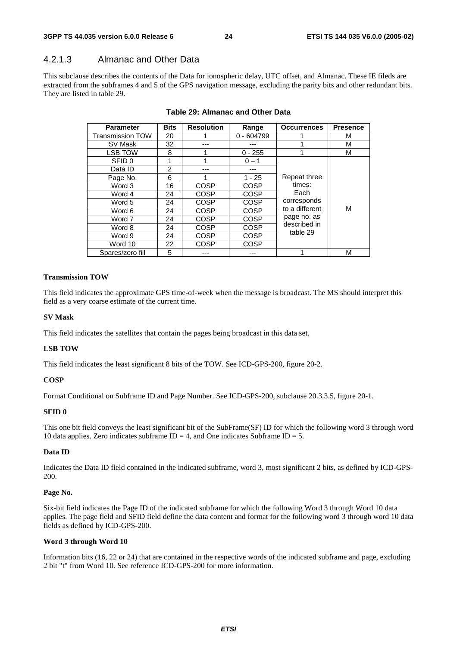# 4.2.1.3 Almanac and Other Data

This subclause describes the contents of the Data for ionospheric delay, UTC offset, and Almanac. These IE fileds are extracted from the subframes 4 and 5 of the GPS navigation message, excluding the parity bits and other redundant bits. They are listed in table 29.

| <b>Parameter</b>        | <b>Bits</b> | <b>Resolution</b> | Range        | <b>Occurrences</b> | <b>Presence</b> |
|-------------------------|-------------|-------------------|--------------|--------------------|-----------------|
| <b>Transmission TOW</b> | 20          |                   | $0 - 604799$ |                    | м               |
| SV Mask                 | 32          |                   |              |                    | М               |
| <b>LSB TOW</b>          | 8           |                   | $0 - 255$    |                    | М               |
| SFID 0                  |             |                   | $0 - 1$      |                    |                 |
| Data ID                 | 2           |                   |              |                    |                 |
| Page No.                | 6           |                   | $1 - 25$     | Repeat three       |                 |
| Word 3                  | 16          | <b>COSP</b>       | <b>COSP</b>  | times:             |                 |
| Word 4                  | 24          | <b>COSP</b>       | <b>COSP</b>  | Each               |                 |
| Word 5                  | 24          | <b>COSP</b>       | <b>COSP</b>  | corresponds        |                 |
| Word 6                  | 24          | <b>COSP</b>       | <b>COSP</b>  | to a different     | М               |
| Word 7                  | 24          | <b>COSP</b>       | <b>COSP</b>  | page no. as        |                 |
| Word 8                  | 24          | <b>COSP</b>       | COSP         | described in       |                 |
| Word 9                  | 24          | <b>COSP</b>       | <b>COSP</b>  | table 29           |                 |
| Word 10                 | 22          | <b>COSP</b>       | <b>COSP</b>  |                    |                 |
| Spares/zero fill        | 5           |                   |              |                    | М               |

#### **Table 29: Almanac and Other Data**

#### **Transmission TOW**

This field indicates the approximate GPS time-of-week when the message is broadcast. The MS should interpret this field as a very coarse estimate of the current time.

#### **SV Mask**

This field indicates the satellites that contain the pages being broadcast in this data set.

#### **LSB TOW**

This field indicates the least significant 8 bits of the TOW. See ICD-GPS-200, figure 20-2.

#### **COSP**

Format Conditional on Subframe ID and Page Number. See ICD-GPS-200, subclause 20.3.3.5, figure 20-1.

#### **SFID 0**

This one bit field conveys the least significant bit of the SubFrame(SF) ID for which the following word 3 through word 10 data applies. Zero indicates subframe  $ID = 4$ , and One indicates Subframe  $ID = 5$ .

#### **Data ID**

Indicates the Data ID field contained in the indicated subframe, word 3, most significant 2 bits, as defined by ICD-GPS-200.

#### **Page No.**

Six-bit field indicates the Page ID of the indicated subframe for which the following Word 3 through Word 10 data applies. The page field and SFID field define the data content and format for the following word 3 through word 10 data fields as defined by ICD-GPS-200.

#### **Word 3 through Word 10**

Information bits (16, 22 or 24) that are contained in the respective words of the indicated subframe and page, excluding 2 bit "t" from Word 10. See reference ICD-GPS-200 for more information.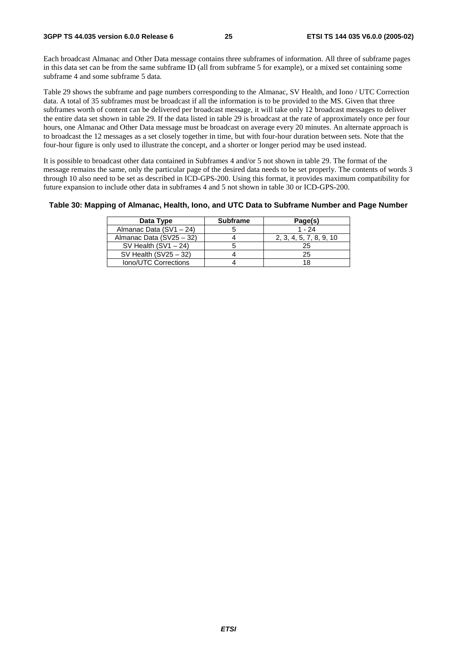Each broadcast Almanac and Other Data message contains three subframes of information. All three of subframe pages in this data set can be from the same subframe ID (all from subframe 5 for example), or a mixed set containing some subframe 4 and some subframe 5 data.

Table 29 shows the subframe and page numbers corresponding to the Almanac, SV Health, and Iono / UTC Correction data. A total of 35 subframes must be broadcast if all the information is to be provided to the MS. Given that three subframes worth of content can be delivered per broadcast message, it will take only 12 broadcast messages to deliver the entire data set shown in table 29. If the data listed in table 29 is broadcast at the rate of approximately once per four hours, one Almanac and Other Data message must be broadcast on average every 20 minutes. An alternate approach is to broadcast the 12 messages as a set closely together in time, but with four-hour duration between sets. Note that the four-hour figure is only used to illustrate the concept, and a shorter or longer period may be used instead.

It is possible to broadcast other data contained in Subframes 4 and/or 5 not shown in table 29. The format of the message remains the same, only the particular page of the desired data needs to be set properly. The contents of words 3 through 10 also need to be set as described in ICD-GPS-200. Using this format, it provides maximum compatibility for future expansion to include other data in subframes 4 and 5 not shown in table 30 or ICD-GPS-200.

#### **Table 30: Mapping of Almanac, Health, Iono, and UTC Data to Subframe Number and Page Number**

| Data Type                | <b>Subframe</b> | Page(s)                 |
|--------------------------|-----------------|-------------------------|
| Almanac Data (SV1 - 24)  |                 | $1 - 24$                |
| Almanac Data (SV25 - 32) |                 | 2, 3, 4, 5, 7, 8, 9, 10 |
| SV Health $(SV1 - 24)$   |                 | 25                      |
| SV Health $(SV25 - 32)$  |                 | 25                      |
| Iono/UTC Corrections     |                 |                         |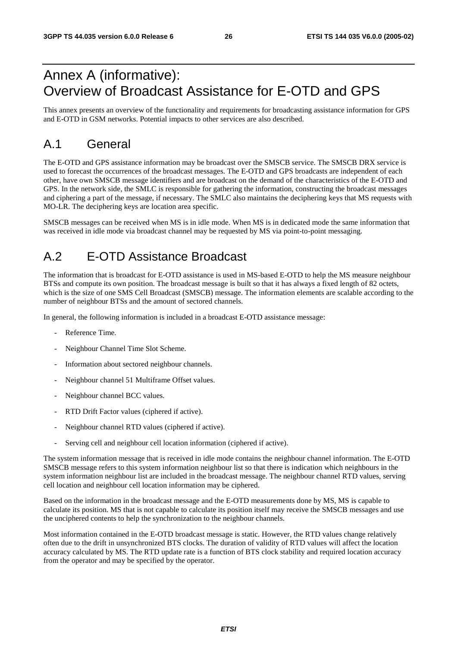# Annex A (informative): Overview of Broadcast Assistance for E-OTD and GPS

This annex presents an overview of the functionality and requirements for broadcasting assistance information for GPS and E-OTD in GSM networks. Potential impacts to other services are also described.

# A.1 General

The E-OTD and GPS assistance information may be broadcast over the SMSCB service. The SMSCB DRX service is used to forecast the occurrences of the broadcast messages. The E-OTD and GPS broadcasts are independent of each other, have own SMSCB message identifiers and are broadcast on the demand of the characteristics of the E-OTD and GPS. In the network side, the SMLC is responsible for gathering the information, constructing the broadcast messages and ciphering a part of the message, if necessary. The SMLC also maintains the deciphering keys that MS requests with MO-LR. The deciphering keys are location area specific.

SMSCB messages can be received when MS is in idle mode. When MS is in dedicated mode the same information that was received in idle mode via broadcast channel may be requested by MS via point-to-point messaging.

# A.2 E-OTD Assistance Broadcast

The information that is broadcast for E-OTD assistance is used in MS-based E-OTD to help the MS measure neighbour BTSs and compute its own position. The broadcast message is built so that it has always a fixed length of 82 octets, which is the size of one SMS Cell Broadcast (SMSCB) message. The information elements are scalable according to the number of neighbour BTSs and the amount of sectored channels.

In general, the following information is included in a broadcast E-OTD assistance message:

- Reference Time.
- Neighbour Channel Time Slot Scheme.
- Information about sectored neighbour channels.
- Neighbour channel 51 Multiframe Offset values.
- Neighbour channel BCC values.
- RTD Drift Factor values (ciphered if active).
- Neighbour channel RTD values (ciphered if active).
- Serving cell and neighbour cell location information (ciphered if active).

The system information message that is received in idle mode contains the neighbour channel information. The E-OTD SMSCB message refers to this system information neighbour list so that there is indication which neighbours in the system information neighbour list are included in the broadcast message. The neighbour channel RTD values, serving cell location and neighbour cell location information may be ciphered.

Based on the information in the broadcast message and the E-OTD measurements done by MS, MS is capable to calculate its position. MS that is not capable to calculate its position itself may receive the SMSCB messages and use the unciphered contents to help the synchronization to the neighbour channels.

Most information contained in the E-OTD broadcast message is static. However, the RTD values change relatively often due to the drift in unsynchronized BTS clocks. The duration of validity of RTD values will affect the location accuracy calculated by MS. The RTD update rate is a function of BTS clock stability and required location accuracy from the operator and may be specified by the operator.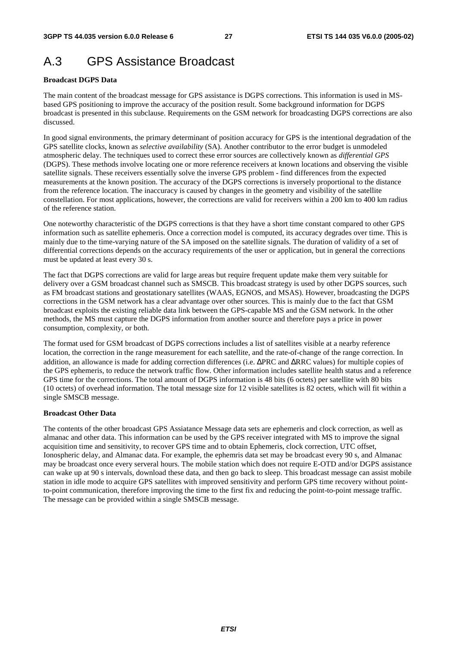# A.3 GPS Assistance Broadcast

#### **Broadcast DGPS Data**

The main content of the broadcast message for GPS assistance is DGPS corrections. This information is used in MSbased GPS positioning to improve the accuracy of the position result. Some background information for DGPS broadcast is presented in this subclause. Requirements on the GSM network for broadcasting DGPS corrections are also discussed.

In good signal environments, the primary determinant of position accuracy for GPS is the intentional degradation of the GPS satellite clocks, known as *selective availability* (SA). Another contributor to the error budget is unmodeled atmospheric delay. The techniques used to correct these error sources are collectively known as *differential GPS* (DGPS). These methods involve locating one or more reference receivers at known locations and observing the visible satellite signals. These receivers essentially solve the inverse GPS problem - find differences from the expected measurements at the known position. The accuracy of the DGPS corrections is inversely proportional to the distance from the reference location. The inaccuracy is caused by changes in the geometry and visibility of the satellite constellation. For most applications, however, the corrections are valid for receivers within a 200 km to 400 km radius of the reference station.

One noteworthy characteristic of the DGPS corrections is that they have a short time constant compared to other GPS information such as satellite ephemeris. Once a correction model is computed, its accuracy degrades over time. This is mainly due to the time-varying nature of the SA imposed on the satellite signals. The duration of validity of a set of differential corrections depends on the accuracy requirements of the user or application, but in general the corrections must be updated at least every 30 s.

The fact that DGPS corrections are valid for large areas but require frequent update make them very suitable for delivery over a GSM broadcast channel such as SMSCB. This broadcast strategy is used by other DGPS sources, such as FM broadcast stations and geostationary satellites (WAAS, EGNOS, and MSAS). However, broadcasting the DGPS corrections in the GSM network has a clear advantage over other sources. This is mainly due to the fact that GSM broadcast exploits the existing reliable data link between the GPS-capable MS and the GSM network. In the other methods, the MS must capture the DGPS information from another source and therefore pays a price in power consumption, complexity, or both.

The format used for GSM broadcast of DGPS corrections includes a list of satellites visible at a nearby reference location, the correction in the range measurement for each satellite, and the rate-of-change of the range correction. In addition, an allowance is made for adding correction differences (i.e. ∆PRC and ∆RRC values) for multiple copies of the GPS ephemeris, to reduce the network traffic flow. Other information includes satellite health status and a reference GPS time for the corrections. The total amount of DGPS information is 48 bits (6 octets) per satellite with 80 bits (10 octets) of overhead information. The total message size for 12 visible satellites is 82 octets, which will fit within a single SMSCB message.

#### **Broadcast Other Data**

The contents of the other broadcast GPS Assiatance Message data sets are ephemeris and clock correction, as well as almanac and other data. This information can be used by the GPS receiver integrated with MS to improve the signal acquisition time and sensitivity, to recover GPS time and to obtain Ephemeris, clock correction, UTC offset, Ionospheric delay, and Almanac data. For example, the ephemris data set may be broadcast every 90 s, and Almanac may be broadcast once every serveral hours. The mobile station which does not require E-OTD and/or DGPS assistance can wake up at 90 s intervals, download these data, and then go back to sleep. This broadcast message can assist mobile station in idle mode to acquire GPS satellites with improved sensitivity and perform GPS time recovery without pointto-point communication, therefore improving the time to the first fix and reducing the point-to-point message traffic. The message can be provided within a single SMSCB message.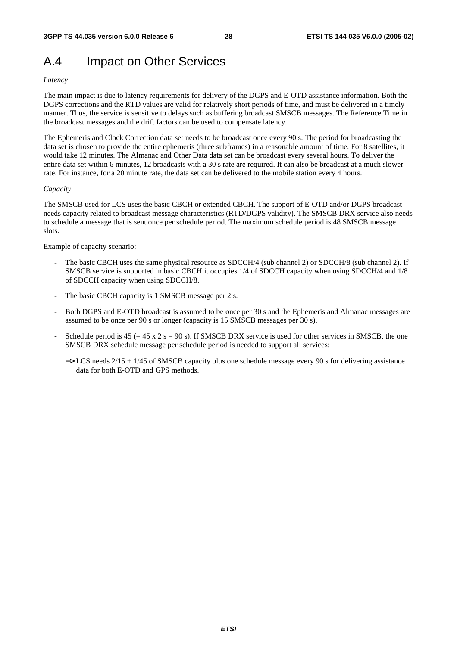# A.4 Impact on Other Services

#### *Latency*

The main impact is due to latency requirements for delivery of the DGPS and E-OTD assistance information. Both the DGPS corrections and the RTD values are valid for relatively short periods of time, and must be delivered in a timely manner. Thus, the service is sensitive to delays such as buffering broadcast SMSCB messages. The Reference Time in the broadcast messages and the drift factors can be used to compensate latency.

The Ephemeris and Clock Correction data set needs to be broadcast once every 90 s. The period for broadcasting the data set is chosen to provide the entire ephemeris (three subframes) in a reasonable amount of time. For 8 satellites, it would take 12 minutes. The Almanac and Other Data data set can be broadcast every several hours. To deliver the entire data set within 6 minutes, 12 broadcasts with a 30 s rate are required. It can also be broadcast at a much slower rate. For instance, for a 20 minute rate, the data set can be delivered to the mobile station every 4 hours.

#### *Capacity*

The SMSCB used for LCS uses the basic CBCH or extended CBCH. The support of E-OTD and/or DGPS broadcast needs capacity related to broadcast message characteristics (RTD/DGPS validity). The SMSCB DRX service also needs to schedule a message that is sent once per schedule period. The maximum schedule period is 48 SMSCB message slots.

Example of capacity scenario:

- The basic CBCH uses the same physical resource as SDCCH/4 (sub channel 2) or SDCCH/8 (sub channel 2). If SMSCB service is supported in basic CBCH it occupies 1/4 of SDCCH capacity when using SDCCH/4 and 1/8 of SDCCH capacity when using SDCCH/8.
- The basic CBCH capacity is 1 SMSCB message per 2 s.
- Both DGPS and E-OTD broadcast is assumed to be once per 30 s and the Ephemeris and Almanac messages are assumed to be once per 90 s or longer (capacity is 15 SMSCB messages per 30 s).
- Schedule period is  $45 (= 45 \times 2 \text{ s} = 90 \text{ s})$ . If SMSCB DRX service is used for other services in SMSCB, the one SMSCB DRX schedule message per schedule period is needed to support all services:
	- $\Rightarrow$  LCS needs 2/15 + 1/45 of SMSCB capacity plus one schedule message every 90 s for delivering assistance data for both E-OTD and GPS methods.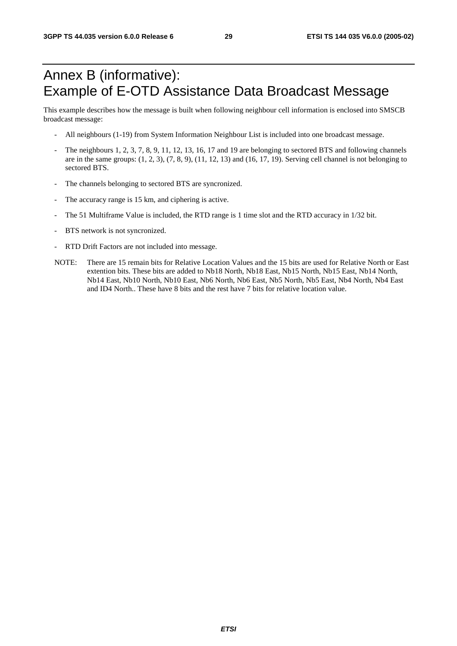# Annex B (informative): Example of E-OTD Assistance Data Broadcast Message

This example describes how the message is built when following neighbour cell information is enclosed into SMSCB broadcast message:

- All neighbours (1-19) from System Information Neighbour List is included into one broadcast message.
- The neighbours 1, 2, 3, 7, 8, 9, 11, 12, 13, 16, 17 and 19 are belonging to sectored BTS and following channels are in the same groups:  $(1, 2, 3)$ ,  $(7, 8, 9)$ ,  $(11, 12, 13)$  and  $(16, 17, 19)$ . Serving cell channel is not belonging to sectored BTS.
- The channels belonging to sectored BTS are syncronized.
- The accuracy range is 15 km, and ciphering is active.
- The 51 Multiframe Value is included, the RTD range is 1 time slot and the RTD accuracy in 1/32 bit.
- BTS network is not syncronized.
- RTD Drift Factors are not included into message.
- NOTE: There are 15 remain bits for Relative Location Values and the 15 bits are used for Relative North or East extention bits. These bits are added to Nb18 North, Nb18 East, Nb15 North, Nb15 East, Nb14 North, Nb14 East, Nb10 North, Nb10 East, Nb6 North, Nb6 East, Nb5 North, Nb5 East, Nb4 North, Nb4 East and ID4 North.. These have 8 bits and the rest have 7 bits for relative location value.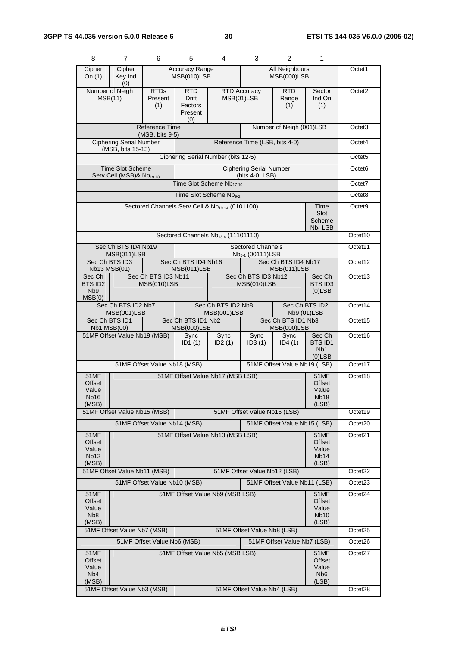| 8                                                    | $\overline{7}$                                                                     | 6                                          | 5                                                | 4                                                           | 3                                                        | $\overline{2}$                           | 1                                                           |                     |
|------------------------------------------------------|------------------------------------------------------------------------------------|--------------------------------------------|--------------------------------------------------|-------------------------------------------------------------|----------------------------------------------------------|------------------------------------------|-------------------------------------------------------------|---------------------|
| Cipher<br>On $(1)$                                   | Cipher<br>Key Ind<br>(0)                                                           |                                            | <b>Accuracy Range</b><br>MSB(010)LSB             |                                                             |                                                          | All Neighbours<br>MSB(000)LSB            |                                                             | Octet1              |
|                                                      | Number of Neigh<br>MSB(11)                                                         | <b>RTDs</b><br>Present<br>(1)              | RTD<br><b>Drift</b><br>Factors<br>Present<br>(0) |                                                             | <b>RTD Accuracy</b><br>MSB(01)LSB                        | <b>RTD</b><br>Range<br>(1)               | Sector<br>Ind On<br>(1)                                     | Octet <sub>2</sub>  |
|                                                      |                                                                                    | <b>Reference Time</b><br>$(MSB, bits 9-5)$ |                                                  |                                                             |                                                          | Number of Neigh (001)LSB                 |                                                             | Octet <sub>3</sub>  |
|                                                      | <b>Ciphering Serial Number</b><br>(MSB, bits 15-13)                                |                                            |                                                  |                                                             | Reference Time (LSB, bits 4-0)                           |                                          |                                                             | Octet4              |
|                                                      |                                                                                    |                                            |                                                  | Ciphering Serial Number (bits 12-5)                         |                                                          |                                          |                                                             | Octet <sub>5</sub>  |
|                                                      | <b>Time Slot Scheme</b><br>Serv Cell (MSB)& Nb <sub>19-18</sub>                    |                                            |                                                  |                                                             | <b>Ciphering Serial Number</b><br>(bits 4-0, LSB)        |                                          |                                                             | Octet <sub>6</sub>  |
|                                                      |                                                                                    |                                            |                                                  | Time Slot Scheme Nb <sub>17-10</sub>                        |                                                          |                                          |                                                             | Octet7              |
|                                                      |                                                                                    |                                            |                                                  | Time Slot Scheme Nb <sub>9-2</sub>                          |                                                          |                                          |                                                             | Octet8              |
|                                                      |                                                                                    |                                            |                                                  | Sectored Channels Serv Cell & Nb <sub>19-14</sub> (0101100) |                                                          |                                          | Time<br>Slot<br>Scheme<br>$Nb1$ LSB                         | Octet <sub>9</sub>  |
|                                                      |                                                                                    |                                            |                                                  | Sectored Channels Nb <sub>13-6</sub> (11101110)             |                                                          |                                          |                                                             | Octet10             |
|                                                      | Sec Ch BTS ID4 Nb19<br>MSB(011)LSB                                                 |                                            |                                                  |                                                             | <b>Sectored Channels</b><br>Nb <sub>5-1</sub> (00111)LSB |                                          |                                                             | Octet11             |
|                                                      | Sec Ch BTS ID3<br>Nb13 MSB(01)                                                     |                                            | Sec Ch BTS ID4 Nb16<br>MSB(011)LSB               |                                                             |                                                          | Sec Ch BTS ID4 Nb17<br>MSB(011)LSB       |                                                             | Octet12             |
| Sec Ch<br>BTS ID2<br>N <sub>b</sub> 9<br>MSB(0)      |                                                                                    | Sec Ch BTS ID3 Nb11<br>MSB(010)LSB         |                                                  |                                                             | Sec Ch BTS ID3 Nb12<br>MSB(010)LSB                       |                                          | Sec Ch<br>BTS ID3<br>$(0)$ LSB                              | Octet13             |
|                                                      | Sec Ch BTS ID2 Nb7<br>MSB(001)LSB                                                  |                                            |                                                  | Sec Ch BTS ID2 Nb8<br>MSB(001)LSB                           |                                                          | Sec Ch BTS ID2<br>Nb9 (01)LSB            |                                                             | Octet14             |
|                                                      | Sec Ch BTS ID1<br><b>Nb1 MSB(00)</b>                                               |                                            | Sec Ch BTS ID1 Nb2<br><b>MSB(000)LSB</b>         |                                                             |                                                          | Sec Ch BTS ID1 Nb3<br><b>MSB(000)LSB</b> |                                                             | Octet15             |
|                                                      | 51MF Offset Value Nb19 (MSB)                                                       |                                            | Sync<br>ID <sub>1</sub> $(1)$                    | Sync<br>ID2(1)                                              | Sync<br>ID3(1)                                           | Sync<br>ID4(1)                           | Sec Ch<br><b>BTSID1</b><br>N <sub>b</sub> 1<br>$(0)$ LSB    | Octet16             |
|                                                      |                                                                                    | 51MF Offset Value Nb18 (MSB)               |                                                  |                                                             |                                                          | 51MF Offset Value Nb19 (LSB)             |                                                             | Octet17             |
| 51MF<br>Offset<br>Value<br>Nb16<br>(MSB)             |                                                                                    |                                            |                                                  | 51MF Offset Value Nb17 (MSB LSB)                            |                                                          |                                          | 51MF<br>Offset<br>Value<br>Nb <sub>18</sub><br>(LSB)        | Octet18             |
|                                                      | 51MF Offset Value Nb15 (MSB)                                                       |                                            |                                                  |                                                             | 51MF Offset Value Nb16 (LSB)                             |                                          |                                                             | Octet19             |
|                                                      |                                                                                    | 51MF Offset Value Nb14 (MSB)               |                                                  |                                                             |                                                          | 51MF Offset Value Nb15 (LSB)             |                                                             | Octet20             |
| 51MF<br>Offset<br>Value<br><b>Nb12</b><br>(MSB)      |                                                                                    |                                            |                                                  | 51MF Offset Value Nb13 (MSB LSB)                            |                                                          |                                          | <b>51MF</b><br>Offset<br>Value<br>Nb <sub>14</sub><br>(LSB) | Octet21             |
|                                                      | 51MF Offset Value Nb11 (MSB)                                                       |                                            |                                                  |                                                             | 51MF Offset Value Nb12 (LSB)                             |                                          |                                                             | Octet22             |
|                                                      |                                                                                    | 51MF Offset Value Nb10 (MSB)               |                                                  |                                                             |                                                          | 51MF Offset Value Nb11 (LSB)             |                                                             | Octet <sub>23</sub> |
| 51MF<br>Offset<br>Value<br>N <sub>b</sub> 8<br>(MSB) | 51MF Offset Value Nb9 (MSB LSB)<br>51MF<br>Offset<br>Value<br><b>Nb10</b><br>(LSB) |                                            |                                                  |                                                             |                                                          |                                          | Octet24                                                     |                     |
|                                                      | 51MF Offset Value Nb7 (MSB)                                                        |                                            |                                                  |                                                             | 51MF Offset Value Nb8 (LSB)                              |                                          |                                                             | Octet25             |
|                                                      |                                                                                    | 51MF Offset Value Nb6 (MSB)                |                                                  |                                                             |                                                          | 51MF Offset Value Nb7 (LSB)              |                                                             | Octet26             |
| 51MF<br>Offset<br>Value<br>N <sub>b</sub> 4<br>(MSB) |                                                                                    |                                            |                                                  | 51MF Offset Value Nb5 (MSB LSB)                             |                                                          |                                          | 51MF<br>Offset<br>Value<br>N <sub>b</sub> 6<br>(LSB)        | Octet27             |
|                                                      | 51MF Offset Value Nb3 (MSB)                                                        |                                            |                                                  |                                                             | 51MF Offset Value Nb4 (LSB)                              |                                          |                                                             | Octet <sub>28</sub> |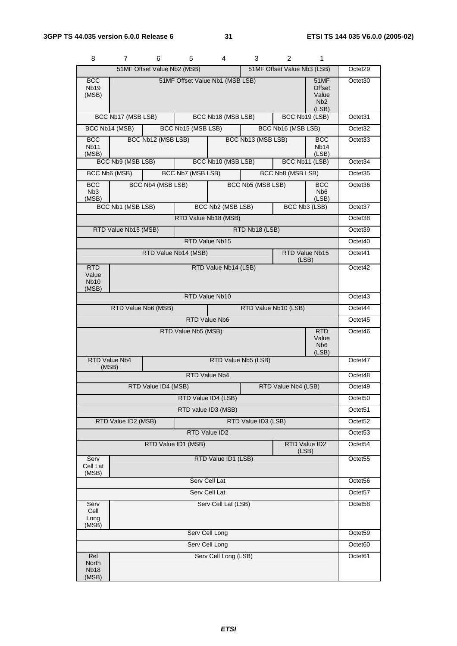| 8                                           | 7                    | 6                           | 5                   | 4                               | 3                   | 2                           | 1                                                           |                     |
|---------------------------------------------|----------------------|-----------------------------|---------------------|---------------------------------|---------------------|-----------------------------|-------------------------------------------------------------|---------------------|
|                                             |                      | 51MF Offset Value Nb2 (MSB) |                     |                                 |                     | 51MF Offset Value Nb3 (LSB) |                                                             | Octet29             |
| <b>BCC</b><br>Nb <sub>19</sub><br>(MSB)     |                      |                             |                     | 51MF Offset Value Nb1 (MSB LSB) |                     |                             | <b>51MF</b><br>Offset<br>Value<br>N <sub>b</sub> 2<br>(LSB) | Octet <sub>30</sub> |
|                                             | BCC Nb17 (MSB LSB)   |                             |                     | BCC Nb18 (MSB LSB)              |                     | BCC Nb19 (LSB)              |                                                             | Octet31             |
|                                             | BCC Nb14 (MSB)       |                             | BCC Nb15 (MSB LSB)  |                                 |                     | BCC Nb16 (MSB LSB)          |                                                             | Octet <sub>32</sub> |
| <b>BCC</b><br>Nb11<br>(MSB)                 |                      | BCC Nb12 (MSB LSB)          |                     |                                 | BCC Nb13 (MSB LSB)  |                             | <b>BCC</b><br>Nb <sub>14</sub><br>(LSB)                     | Octet <sub>33</sub> |
|                                             | BCC Nb9 (MSB LSB)    |                             |                     | BCC Nb10 (MSB LSB)              |                     | BCC Nb11 (LSB)              |                                                             | Octet34             |
|                                             | BCC Nb6 (MSB)        |                             | BCC Nb7 (MSB LSB)   |                                 |                     | BCC Nb8 (MSB LSB)           |                                                             | Octet35             |
| <b>BCC</b><br>N <sub>b</sub> 3<br>(MSB)     |                      | BCC Nb4 (MSB LSB)           |                     |                                 | BCC Nb5 (MSB LSB)   |                             | <b>BCC</b><br>N <sub>b</sub> 6<br>(LSB)                     | Octet36             |
|                                             | BCC Nb1 (MSB LSB)    |                             |                     | BCC Nb2 (MSB LSB)               |                     | BCC Nb3 (LSB)               |                                                             | Octet37             |
|                                             |                      |                             |                     | RTD Value Nb18 (MSB)            |                     |                             |                                                             | Octet38             |
|                                             | RTD Value Nb15 (MSB) |                             |                     |                                 | RTD Nb18 (LSB)      |                             |                                                             | Octet39             |
|                                             |                      |                             |                     | RTD Value Nb15                  |                     |                             |                                                             | Octet40             |
|                                             |                      | RTD Value Nb14 (MSB)        |                     |                                 |                     | RTD Value Nb15<br>(LSB)     |                                                             | Octet41             |
| <b>RTD</b><br>Value<br><b>Nb10</b><br>(MSB) |                      |                             |                     | RTD Value Nb14 (LSB)            |                     |                             |                                                             | Octet42             |
|                                             |                      |                             |                     | RTD Value Nb10                  |                     |                             |                                                             | Octet43             |
|                                             |                      | RTD Value Nb6 (MSB)         |                     |                                 |                     | RTD Value Nb10 (LSB)        |                                                             | Octet44             |
|                                             |                      |                             |                     | RTD Value Nb6                   |                     |                             |                                                             | Octet45             |
|                                             |                      |                             | RTD Value Nb5 (MSB) |                                 |                     |                             | <b>RTD</b><br>Value<br>N <sub>b</sub> <sub>6</sub><br>(LSB) | Octet46             |
| (MSB)                                       | <b>RTD Value Nb4</b> |                             |                     |                                 | RTD Value Nb5 (LSB) |                             |                                                             | Octet47             |
|                                             |                      |                             |                     | RTD Value Nb4                   |                     |                             |                                                             | Octet48             |
|                                             |                      | RTD Value ID4 (MSB)         |                     |                                 |                     | RTD Value Nb4 (LSB)         |                                                             | Octet49             |
|                                             |                      |                             |                     | RTD Value ID4 (LSB)             |                     |                             |                                                             | Octet <sub>50</sub> |
|                                             |                      |                             |                     | RTD value ID3 (MSB)             |                     |                             |                                                             | Octet <sub>51</sub> |
|                                             | RTD Value ID2 (MSB)  |                             |                     |                                 | RTD Value ID3 (LSB) |                             |                                                             | Octet52             |
|                                             |                      |                             |                     | RTD Value ID2                   |                     |                             |                                                             | Octet <sub>53</sub> |
|                                             |                      |                             | RTD Value ID1 (MSB) |                                 |                     | (LSB)                       | RTD Value ID2                                               | Octet54             |
| Serv<br>Cell Lat<br>(MSB)                   |                      |                             |                     | RTD Value ID1 (LSB)             |                     |                             |                                                             | Octet <sub>55</sub> |
| Serv Cell Lat                               |                      |                             |                     |                                 |                     |                             |                                                             | Octet <sub>56</sub> |
|                                             |                      |                             |                     | Serv Cell Lat                   |                     |                             |                                                             | Octet57             |
| Serv<br>Cell<br>Long<br>(MSB)               |                      |                             |                     | Serv Cell Lat (LSB)             |                     |                             |                                                             | Octet58             |
|                                             |                      |                             |                     | Serv Cell Long                  |                     |                             |                                                             | Octet59             |
|                                             |                      |                             |                     | Serv Cell Long                  |                     |                             |                                                             | Octet60             |
| Rel<br>North<br><b>Nb18</b><br>(MSB)        |                      |                             |                     | Serv Cell Long (LSB)            |                     |                             |                                                             | Octet61             |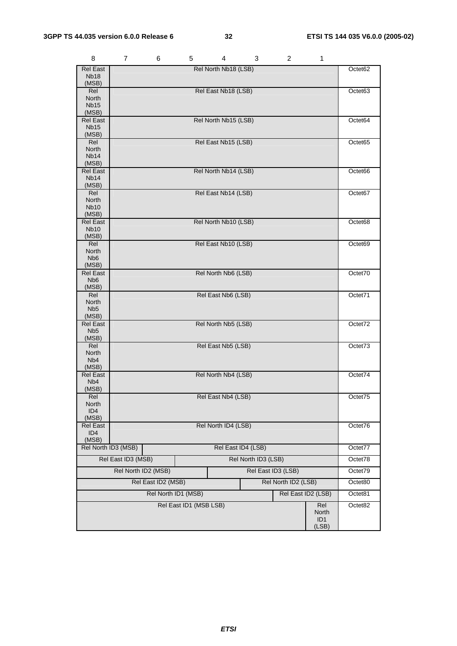| 8                                       | 7                   | 6                  | 5                      | 4                    | 3                   | $\overline{c}$      | 1            |         |
|-----------------------------------------|---------------------|--------------------|------------------------|----------------------|---------------------|---------------------|--------------|---------|
| <b>Rel East</b>                         |                     |                    |                        | Rel North Nb18 (LSB) |                     |                     |              | Octet62 |
| <b>Nb18</b><br>(MSB)                    |                     |                    |                        |                      |                     |                     |              |         |
| Rel                                     |                     |                    |                        | Rel East Nb18 (LSB)  |                     |                     |              | Octet63 |
| North<br><b>Nb15</b>                    |                     |                    |                        |                      |                     |                     |              |         |
| (MSB)                                   |                     |                    |                        |                      |                     |                     |              |         |
| <b>Rel East</b>                         |                     |                    |                        | Rel North Nb15 (LSB) |                     |                     |              | Octet64 |
| <b>Nb15</b><br>(MSB)                    |                     |                    |                        |                      |                     |                     |              |         |
| Rel                                     |                     |                    |                        | Rel East Nb15 (LSB)  |                     |                     |              | Octet65 |
| North                                   |                     |                    |                        |                      |                     |                     |              |         |
| Nb <sub>14</sub><br>(MSB)               |                     |                    |                        |                      |                     |                     |              |         |
| <b>Rel East</b>                         |                     |                    |                        | Rel North Nb14 (LSB) |                     |                     |              | Octet66 |
| Nb <sub>14</sub>                        |                     |                    |                        |                      |                     |                     |              |         |
| (MSB)<br>Rel                            |                     |                    |                        | Rel East Nb14 (LSB)  |                     |                     |              | Octet67 |
| North                                   |                     |                    |                        |                      |                     |                     |              |         |
| <b>Nb10</b>                             |                     |                    |                        |                      |                     |                     |              |         |
| (MSB)<br><b>Rel East</b>                |                     |                    |                        | Rel North Nb10 (LSB) |                     |                     |              | Octet68 |
| <b>Nb10</b>                             |                     |                    |                        |                      |                     |                     |              |         |
| (MSB)                                   |                     |                    |                        |                      |                     |                     |              |         |
| Rel<br>North                            |                     |                    |                        | Rel East Nb10 (LSB)  |                     |                     |              | Octet69 |
| Nb <sub>6</sub>                         |                     |                    |                        |                      |                     |                     |              |         |
| (MSB)                                   |                     |                    |                        |                      |                     |                     |              |         |
| Rel East<br>N <sub>b</sub> <sub>6</sub> |                     |                    |                        | Rel North Nb6 (LSB)  |                     |                     |              | Octet70 |
| (MSB)                                   |                     |                    |                        |                      |                     |                     |              |         |
| Rel                                     |                     |                    |                        | Rel East Nb6 (LSB)   |                     |                     |              | Octet71 |
| North<br>Nb <sub>5</sub>                |                     |                    |                        |                      |                     |                     |              |         |
| (MSB)                                   |                     |                    |                        |                      |                     |                     |              |         |
| Rel East                                |                     |                    |                        | Rel North Nb5 (LSB)  |                     |                     |              | Octet72 |
| N <sub>b5</sub><br>(MSB)                |                     |                    |                        |                      |                     |                     |              |         |
| Rel                                     |                     |                    |                        | Rel East Nb5 (LSB)   |                     |                     |              | Octet73 |
| North                                   |                     |                    |                        |                      |                     |                     |              |         |
| Nb4<br>(MSB)                            |                     |                    |                        |                      |                     |                     |              |         |
| <b>Rel East</b>                         |                     |                    |                        | Rel North Nb4 (LSB)  |                     |                     |              | Octet74 |
| N <sub>b</sub> 4<br>(MSB)               |                     |                    |                        |                      |                     |                     |              |         |
| Rel                                     |                     |                    |                        | Rel East Nb4 (LSB)   |                     |                     |              | Octet75 |
| North                                   |                     |                    |                        |                      |                     |                     |              |         |
| ID4<br>(MSB)                            |                     |                    |                        |                      |                     |                     |              |         |
| Rel East                                |                     |                    |                        | Rel North ID4 (LSB)  |                     |                     |              | Octet76 |
| ID <sub>4</sub>                         |                     |                    |                        |                      |                     |                     |              |         |
| (MSB)                                   | Rel North ID3 (MSB) |                    |                        | Rel East ID4 (LSB)   |                     |                     |              |         |
|                                         |                     |                    |                        |                      |                     |                     |              | Octet77 |
|                                         | Rel East ID3 (MSB)  |                    |                        |                      | Rel North ID3 (LSB) |                     |              | Octet78 |
|                                         | Rel North ID2 (MSB) |                    |                        |                      |                     | Rel East ID3 (LSB)  |              | Octet79 |
|                                         |                     | Rel East ID2 (MSB) |                        |                      |                     | Rel North ID2 (LSB) |              | Octet80 |
|                                         |                     |                    | Rel North ID1 (MSB)    |                      |                     | Rel East ID2 (LSB)  |              | Octet81 |
|                                         |                     |                    | Rel East ID1 (MSB LSB) |                      |                     |                     | Rel          | Octet82 |
|                                         |                     |                    |                        |                      |                     |                     | North        |         |
|                                         |                     |                    |                        |                      |                     |                     | ID1<br>(LSB) |         |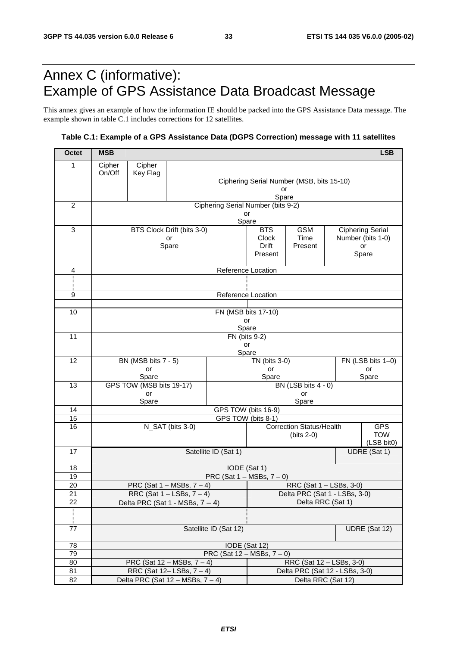# Annex C (informative): Example of GPS Assistance Data Broadcast Message

This annex gives an example of how the information IE should be packed into the GPS Assistance Data message. The example shown in table C.1 includes corrections for 12 satellites.

### **Table C.1: Example of a GPS Assistance Data (DGPS Correction) message with 11 satellites**

| <b>Octet</b>    | <b>MSB</b>                                                   |                                    |                            |                      |                                                 |                 |  | <b>LSB</b>               |  |
|-----------------|--------------------------------------------------------------|------------------------------------|----------------------------|----------------------|-------------------------------------------------|-----------------|--|--------------------------|--|
| 1               | Cipher                                                       | Cipher                             |                            |                      |                                                 |                 |  |                          |  |
|                 | On/Off                                                       | Key Flag                           |                            |                      |                                                 |                 |  |                          |  |
|                 |                                                              |                                    |                            |                      | Ciphering Serial Number (MSB, bits 15-10)<br>or |                 |  |                          |  |
|                 |                                                              |                                    |                            |                      | Spare                                           |                 |  |                          |  |
| $\overline{c}$  |                                                              | Ciphering Serial Number (bits 9-2) |                            |                      |                                                 |                 |  |                          |  |
|                 | or<br>Spare                                                  |                                    |                            |                      |                                                 |                 |  |                          |  |
| 3               |                                                              |                                    | BTS Clock Drift (bits 3-0) |                      | <b>BTS</b>                                      | <b>GSM</b>      |  | <b>Ciphering Serial</b>  |  |
|                 |                                                              |                                    | or                         |                      | Clock<br><b>Drift</b>                           | Time<br>Present |  | Number (bits 1-0)<br>or  |  |
|                 | Spare                                                        |                                    |                            |                      | Present                                         |                 |  | Spare                    |  |
|                 |                                                              |                                    |                            |                      |                                                 |                 |  |                          |  |
| 4               | Reference Location                                           |                                    |                            |                      |                                                 |                 |  |                          |  |
|                 |                                                              |                                    |                            |                      |                                                 |                 |  |                          |  |
| 9               | Reference Location                                           |                                    |                            |                      |                                                 |                 |  |                          |  |
| 10              |                                                              |                                    |                            |                      |                                                 |                 |  |                          |  |
|                 |                                                              | FN (MSB bits 17-10)<br>or          |                            |                      |                                                 |                 |  |                          |  |
|                 |                                                              |                                    |                            | Spare                |                                                 |                 |  |                          |  |
| 11              |                                                              |                                    |                            | FN (bits 9-2)<br>or  |                                                 |                 |  |                          |  |
|                 |                                                              |                                    |                            | Spare                |                                                 |                 |  |                          |  |
| 12              |                                                              | BN (MSB bits 7 - 5)                |                            |                      | TN (bits 3-0)                                   |                 |  | FN (LSB bits 1-0)        |  |
|                 | or<br>Spare                                                  |                                    |                            |                      | or<br>or<br>Spare                               |                 |  | Spare                    |  |
| 13              | GPS TOW (MSB bits 19-17)                                     |                                    |                            |                      | BN (LSB bits 4 - 0)                             |                 |  |                          |  |
|                 | or                                                           |                                    |                            |                      | or                                              |                 |  |                          |  |
| 14              | Spare<br>Spare<br>GPS TOW (bits 16-9)                        |                                    |                            |                      |                                                 |                 |  |                          |  |
| 15              | GPS TOW (bits 8-1)                                           |                                    |                            |                      |                                                 |                 |  |                          |  |
| 16              | N_SAT (bits 3-0)                                             |                                    |                            |                      | <b>Correction Status/Health</b><br><b>GPS</b>   |                 |  |                          |  |
|                 |                                                              |                                    |                            |                      |                                                 | $(bits 2-0)$    |  | <b>TOW</b><br>(LSB bit0) |  |
| 17              |                                                              |                                    |                            | Satellite ID (Sat 1) |                                                 |                 |  | UDRE (Sat 1)             |  |
|                 |                                                              |                                    |                            |                      |                                                 |                 |  |                          |  |
| 18<br>19        | IODE (Sat 1)<br>PRC (Sat $1 - MSBs$ , $7 - 0$ )              |                                    |                            |                      |                                                 |                 |  |                          |  |
| 20              | PRC (Sat $1 - MSBs$ , $7 - 4$ )                              |                                    |                            |                      | RRC (Sat 1 - LSBs, 3-0)                         |                 |  |                          |  |
| $\overline{21}$ | RRC (Sat $1 -$ LSBs, $7 - 4$ )                               |                                    |                            |                      | Delta PRC (Sat 1 - LSBs, 3-0)                   |                 |  |                          |  |
| 22              | Delta PRC (Sat 1 - MSBs, $7 - 4$ )                           |                                    |                            |                      | Delta RRC (Sat 1)                               |                 |  |                          |  |
|                 |                                                              |                                    |                            |                      |                                                 |                 |  |                          |  |
| 77              | Satellite ID (Sat 12)<br>UDRE (Sat 12)                       |                                    |                            |                      |                                                 |                 |  |                          |  |
| 78              | IODE (Sat 12)                                                |                                    |                            |                      |                                                 |                 |  |                          |  |
| 79              | PRC (Sat $12 - MSBs$ , $7 - 0$ )                             |                                    |                            |                      |                                                 |                 |  |                          |  |
| 80              | PRC (Sat $12 - MSBs$ , $7 - 4$ )<br>RRC (Sat 12 - LSBs, 3-0) |                                    |                            |                      |                                                 |                 |  |                          |  |
| 81              | RRC (Sat 12-LSBs, 7-4)                                       |                                    |                            |                      | Delta PRC (Sat 12 - LSBs, 3-0)                  |                 |  |                          |  |
| 82              | Delta PRC (Sat $12 - MSBs$ , $7 - 4$ )                       |                                    |                            |                      | Delta RRC (Sat 12)                              |                 |  |                          |  |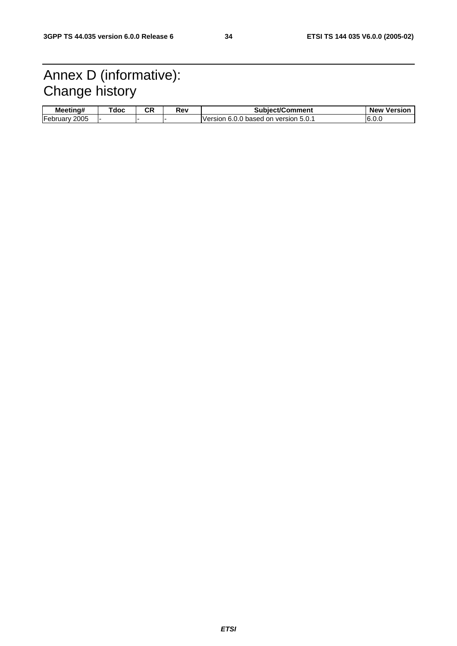# Annex D (informative): Change history

| Meetina#                       | ⊺doc | rπ<br>vr. | Rev | <b>Subiect/Comment</b>                                   | <b>New</b><br>Versior |
|--------------------------------|------|-----------|-----|----------------------------------------------------------|-----------------------|
| $-$<br>2005<br><b>February</b> |      |           |     | Version 6.0.<br>$\cdot$ 5.0. .<br>J.0 based on version . | ت.6.0 ا               |